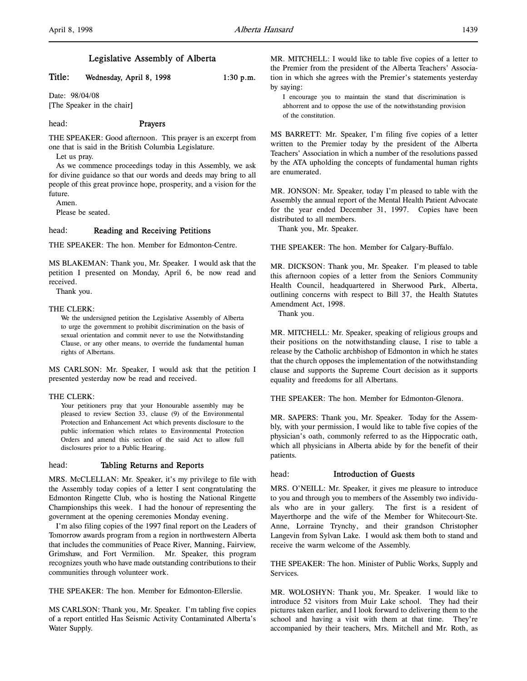# Legislative Assembly of Alberta

# Title: Wednesday, April 8, 1998 1:30 p.m.

Date: 98/04/08 [The Speaker in the chair]

# head: Prayers

THE SPEAKER: Good afternoon. This prayer is an excerpt from one that is said in the British Columbia Legislature.

Let us pray.

As we commence proceedings today in this Assembly, we ask for divine guidance so that our words and deeds may bring to all people of this great province hope, prosperity, and a vision for the future.

Amen.

Please be seated.

### head: Reading and Receiving Petitions

THE SPEAKER: The hon. Member for Edmonton-Centre.

MS BLAKEMAN: Thank you, Mr. Speaker. I would ask that the petition I presented on Monday, April 6, be now read and received.

Thank you.

#### THE CLERK:

We the undersigned petition the Legislative Assembly of Alberta to urge the government to prohibit discrimination on the basis of sexual orientation and commit never to use the Notwithstanding Clause, or any other means, to override the fundamental human rights of Albertans.

MS CARLSON: Mr. Speaker, I would ask that the petition I presented yesterday now be read and received.

#### THE CLERK:

Your petitioners pray that your Honourable assembly may be pleased to review Section 33, clause (9) of the Environmental Protection and Enhancement Act which prevents disclosure to the public information which relates to Environmental Protection Orders and amend this section of the said Act to allow full disclosures prior to a Public Hearing.

### head: Tabling Returns and Reports

MRS. McCLELLAN: Mr. Speaker, it's my privilege to file with the Assembly today copies of a letter I sent congratulating the Edmonton Ringette Club, who is hosting the National Ringette Championships this week. I had the honour of representing the government at the opening ceremonies Monday evening.

I'm also filing copies of the 1997 final report on the Leaders of Tomorrow awards program from a region in northwestern Alberta that includes the communities of Peace River, Manning, Fairview, Grimshaw, and Fort Vermilion. Mr. Speaker, this program recognizes youth who have made outstanding contributions to their communities through volunteer work.

THE SPEAKER: The hon. Member for Edmonton-Ellerslie.

MS CARLSON: Thank you, Mr. Speaker. I'm tabling five copies of a report entitled Has Seismic Activity Contaminated Alberta's Water Supply.

MR. MITCHELL: I would like to table five copies of a letter to the Premier from the president of the Alberta Teachers' Association in which she agrees with the Premier's statements yesterday by saying:

I encourage you to maintain the stand that discrimination is abhorrent and to oppose the use of the notwithstanding provision of the constitution.

MS BARRETT: Mr. Speaker, I'm filing five copies of a letter written to the Premier today by the president of the Alberta Teachers' Association in which a number of the resolutions passed by the ATA upholding the concepts of fundamental human rights are enumerated.

MR. JONSON: Mr. Speaker, today I'm pleased to table with the Assembly the annual report of the Mental Health Patient Advocate for the year ended December 31, 1997. Copies have been distributed to all members.

Thank you, Mr. Speaker.

THE SPEAKER: The hon. Member for Calgary-Buffalo.

MR. DICKSON: Thank you, Mr. Speaker. I'm pleased to table this afternoon copies of a letter from the Seniors Community Health Council, headquartered in Sherwood Park, Alberta, outlining concerns with respect to Bill 37, the Health Statutes Amendment Act, 1998.

Thank you.

MR. MITCHELL: Mr. Speaker, speaking of religious groups and their positions on the notwithstanding clause, I rise to table a release by the Catholic archbishop of Edmonton in which he states that the church opposes the implementation of the notwithstanding clause and supports the Supreme Court decision as it supports equality and freedoms for all Albertans.

THE SPEAKER: The hon. Member for Edmonton-Glenora.

MR. SAPERS: Thank you, Mr. Speaker. Today for the Assembly, with your permission, I would like to table five copies of the physician's oath, commonly referred to as the Hippocratic oath, which all physicians in Alberta abide by for the benefit of their patients.

#### head: Introduction of Guests

MRS. O'NEILL: Mr. Speaker, it gives me pleasure to introduce to you and through you to members of the Assembly two individuals who are in your gallery. The first is a resident of Mayerthorpe and the wife of the Member for Whitecourt-Ste. Anne, Lorraine Trynchy, and their grandson Christopher Langevin from Sylvan Lake. I would ask them both to stand and receive the warm welcome of the Assembly.

THE SPEAKER: The hon. Minister of Public Works, Supply and Services.

MR. WOLOSHYN: Thank you, Mr. Speaker. I would like to introduce 52 visitors from Muir Lake school. They had their pictures taken earlier, and I look forward to delivering them to the school and having a visit with them at that time. They're accompanied by their teachers, Mrs. Mitchell and Mr. Roth, as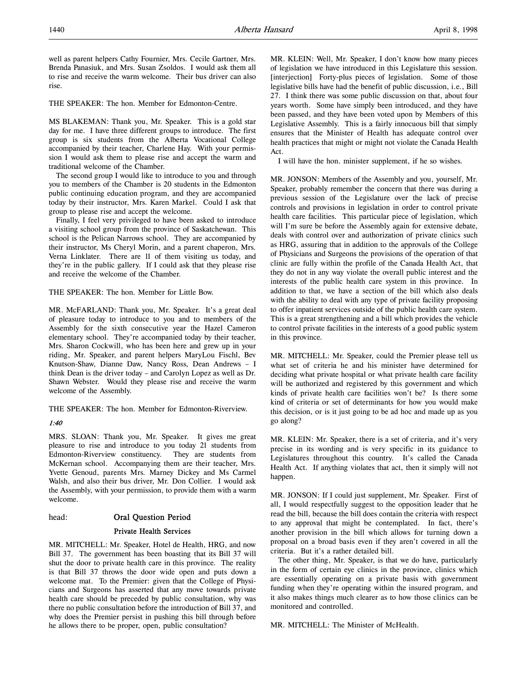well as parent helpers Cathy Fournier, Mrs. Cecile Gartner, Mrs. Brenda Panasiuk, and Mrs. Susan Zsoldos. I would ask them all to rise and receive the warm welcome. Their bus driver can also rise.

THE SPEAKER: The hon. Member for Edmonton-Centre.

MS BLAKEMAN: Thank you, Mr. Speaker. This is a gold star day for me. I have three different groups to introduce. The first group is six students from the Alberta Vocational College accompanied by their teacher, Charlene Hay. With your permission I would ask them to please rise and accept the warm and traditional welcome of the Chamber.

The second group I would like to introduce to you and through you to members of the Chamber is 20 students in the Edmonton public continuing education program, and they are accompanied today by their instructor, Mrs. Karen Markel. Could I ask that group to please rise and accept the welcome.

Finally, I feel very privileged to have been asked to introduce a visiting school group from the province of Saskatchewan. This school is the Pelican Narrows school. They are accompanied by their instructor, Ms Cheryl Morin, and a parent chaperon, Mrs. Verna Linklater. There are 11 of them visiting us today, and they're in the public gallery. If I could ask that they please rise and receive the welcome of the Chamber.

THE SPEAKER: The hon. Member for Little Bow.

MR. McFARLAND: Thank you, Mr. Speaker. It's a great deal of pleasure today to introduce to you and to members of the Assembly for the sixth consecutive year the Hazel Cameron elementary school. They're accompanied today by their teacher, Mrs. Sharon Cockwill, who has been here and grew up in your riding, Mr. Speaker, and parent helpers MaryLou Fischl, Bev Knutson-Shaw, Dianne Daw, Nancy Ross, Dean Andrews – I think Dean is the driver today – and Carolyn Lopez as well as Dr. Shawn Webster. Would they please rise and receive the warm welcome of the Assembly.

THE SPEAKER: The hon. Member for Edmonton-Riverview.

### 1:40

MRS. SLOAN: Thank you, Mr. Speaker. It gives me great pleasure to rise and introduce to you today 21 students from Edmonton-Riverview constituency. They are students from McKernan school. Accompanying them are their teacher, Mrs. Yvette Genoud, parents Mrs. Marney Dickey and Ms Carmel Walsh, and also their bus driver, Mr. Don Collier. I would ask the Assembly, with your permission, to provide them with a warm welcome.

# head: Oral Question Period

### Private Health Services

MR. MITCHELL: Mr. Speaker, Hotel de Health, HRG, and now Bill 37. The government has been boasting that its Bill 37 will shut the door to private health care in this province. The reality is that Bill 37 throws the door wide open and puts down a welcome mat. To the Premier: given that the College of Physicians and Surgeons has asserted that any move towards private health care should be preceded by public consultation, why was there no public consultation before the introduction of Bill 37, and why does the Premier persist in pushing this bill through before he allows there to be proper, open, public consultation?

MR. KLEIN: Well, Mr. Speaker, I don't know how many pieces of legislation we have introduced in this Legislature this session. [interjection] Forty-plus pieces of legislation. Some of those legislative bills have had the benefit of public discussion, i.e., Bill 27. I think there was some public discussion on that, about four years worth. Some have simply been introduced, and they have been passed, and they have been voted upon by Members of this Legislative Assembly. This is a fairly innocuous bill that simply ensures that the Minister of Health has adequate control over health practices that might or might not violate the Canada Health Act.

I will have the hon. minister supplement, if he so wishes.

MR. JONSON: Members of the Assembly and you, yourself, Mr. Speaker, probably remember the concern that there was during a previous session of the Legislature over the lack of precise controls and provisions in legislation in order to control private health care facilities. This particular piece of legislation, which will I'm sure be before the Assembly again for extensive debate, deals with control over and authorization of private clinics such as HRG, assuring that in addition to the approvals of the College of Physicians and Surgeons the provisions of the operation of that clinic are fully within the profile of the Canada Health Act, that they do not in any way violate the overall public interest and the interests of the public health care system in this province. In addition to that, we have a section of the bill which also deals with the ability to deal with any type of private facility proposing to offer inpatient services outside of the public health care system. This is a great strengthening and a bill which provides the vehicle to control private facilities in the interests of a good public system in this province.

MR. MITCHELL: Mr. Speaker, could the Premier please tell us what set of criteria he and his minister have determined for deciding what private hospital or what private health care facility will be authorized and registered by this government and which kinds of private health care facilities won't be? Is there some kind of criteria or set of determinants for how you would make this decision, or is it just going to be ad hoc and made up as you go along?

MR. KLEIN: Mr. Speaker, there is a set of criteria, and it's very precise in its wording and is very specific in its guidance to Legislatures throughout this country. It's called the Canada Health Act. If anything violates that act, then it simply will not happen.

MR. JONSON: If I could just supplement, Mr. Speaker. First of all, I would respectfully suggest to the opposition leader that he read the bill, because the bill does contain the criteria with respect to any approval that might be contemplated. In fact, there's another provision in the bill which allows for turning down a proposal on a broad basis even if they aren't covered in all the criteria. But it's a rather detailed bill.

The other thing, Mr. Speaker, is that we do have, particularly in the form of certain eye clinics in the province, clinics which are essentially operating on a private basis with government funding when they're operating within the insured program, and it also makes things much clearer as to how those clinics can be monitored and controlled.

MR. MITCHELL: The Minister of McHealth.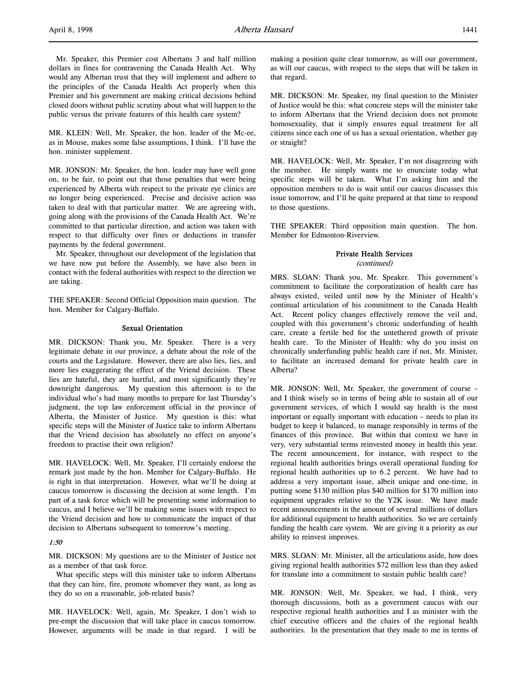Mr. Speaker, this Premier cost Albertans 3 and half million dollars in fines for contravening the Canada Health Act. Why would any Albertan trust that they will implement and adhere to the principles of the Canada Health Act properly when this Premier and his government are making critical decisions behind closed doors without public scrutiny about what will happen to the public versus the private features of this health care system?

MR. KLEIN: Well, Mr. Speaker, the hon. leader of the Mc-ee, as in Mouse, makes some false assumptions, I think. I'll have the hon. minister supplement.

MR. JONSON: Mr. Speaker, the hon. leader may have well gone on, to be fair, to point out that those penalties that were being experienced by Alberta with respect to the private eye clinics are no longer being experienced. Precise and decisive action was taken to deal with that particular matter. We are agreeing with, going along with the provisions of the Canada Health Act. We're committed to that particular direction, and action was taken with respect to that difficulty over fines or deductions in transfer payments by the federal government.

Mr. Speaker, throughout our development of the legislation that we have now put before the Assembly, we have also been in contact with the federal authorities with respect to the direction we are taking.

THE SPEAKER: Second Official Opposition main question. The hon. Member for Calgary-Buffalo.

### Sexual Orientation

MR. DICKSON: Thank you, Mr. Speaker. There is a very legitimate debate in our province, a debate about the role of the courts and the Legislature. However, there are also lies, lies, and more lies exaggerating the effect of the Vriend decision. These lies are hateful, they are hurtful, and most significantly they're downright dangerous. My question this afternoon is to the individual who's had many months to prepare for last Thursday's judgment, the top law enforcement official in the province of Alberta, the Minister of Justice. My question is this: what specific steps will the Minister of Justice take to inform Albertans that the Vriend decision has absolutely no effect on anyone's freedom to practise their own religion?

MR. HAVELOCK: Well, Mr. Speaker, I'll certainly endorse the remark just made by the hon. Member for Calgary-Buffalo. He is right in that interpretation. However, what we'll be doing at caucus tomorrow is discussing the decision at some length. I'm part of a task force which will be presenting some information to caucus, and I believe we'll be making some issues with respect to the Vriend decision and how to communicate the impact of that decision to Albertans subsequent to tomorrow's meeting.

### 1:50

MR. DICKSON: My questions are to the Minister of Justice not as a member of that task force.

What specific steps will this minister take to inform Albertans that they can hire, fire, promote whomever they want, as long as they do so on a reasonable, job-related basis?

MR. HAVELOCK: Well, again, Mr. Speaker, I don't wish to pre-empt the discussion that will take place in caucus tomorrow. However, arguments will be made in that regard. I will be making a position quite clear tomorrow, as will our government, as will our caucus, with respect to the steps that will be taken in that regard.

MR. DICKSON: Mr. Speaker, my final question to the Minister of Justice would be this: what concrete steps will the minister take to inform Albertans that the Vriend decision does not promote homosexuality, that it simply ensures equal treatment for all citizens since each one of us has a sexual orientation, whether gay or straight?

MR. HAVELOCK: Well, Mr. Speaker, I'm not disagreeing with the member. He simply wants me to enunciate today what specific steps will be taken. What I'm asking him and the opposition members to do is wait until our caucus discusses this issue tomorrow, and I'll be quite prepared at that time to respond to those questions.

THE SPEAKER: Third opposition main question. The hon. Member for Edmonton-Riverview.

### Private Health Services

(continued)

MRS. SLOAN: Thank you, Mr. Speaker. This government's commitment to facilitate the corporatization of health care has always existed, veiled until now by the Minister of Health's continual articulation of his commitment to the Canada Health Act. Recent policy changes effectively remove the veil and, coupled with this government's chronic underfunding of health care, create a fertile bed for the untethered growth of private health care. To the Minister of Health: why do you insist on chronically underfunding public health care if not, Mr. Minister, to facilitate an increased demand for private health care in Alberta?

MR. JONSON: Well, Mr. Speaker, the government of course – and I think wisely so in terms of being able to sustain all of our government services, of which I would say health is the most important or equally important with education – needs to plan its budget to keep it balanced, to manage responsibly in terms of the finances of this province. But within that context we have in very, very substantial terms reinvested money in health this year. The recent announcement, for instance, with respect to the regional health authorities brings overall operational funding for regional health authorities up to 6.2 percent. We have had to address a very important issue, albeit unique and one-time, in putting some \$130 million plus \$40 million for \$170 million into equipment upgrades relative to the Y2K issue. We have made recent announcements in the amount of several millions of dollars for additional equipment to health authorities. So we are certainly funding the health care system. We are giving it a priority as our ability to reinvest improves.

MRS. SLOAN: Mr. Minister, all the articulations aside, how does giving regional health authorities \$72 million less than they asked for translate into a commitment to sustain public health care?

MR. JONSON: Well, Mr. Speaker, we had, I think, very thorough discussions, both as a government caucus with our respective regional health authorities and I as minister with the chief executive officers and the chairs of the regional health authorities. In the presentation that they made to me in terms of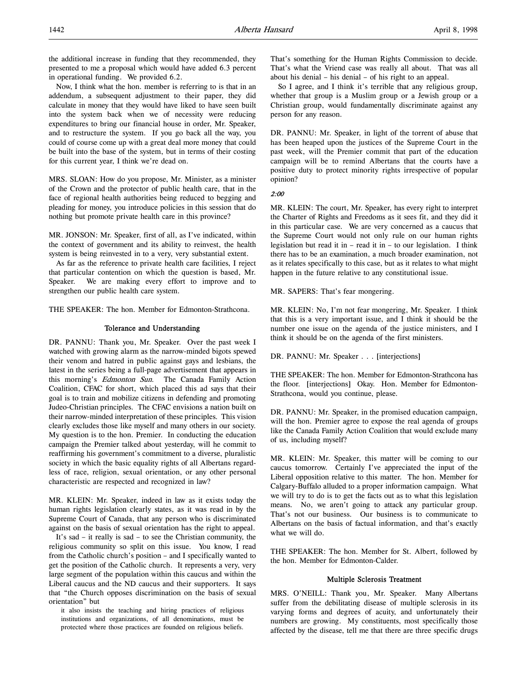the additional increase in funding that they recommended, they presented to me a proposal which would have added 6.3 percent in operational funding. We provided 6.2.

Now, I think what the hon. member is referring to is that in an addendum, a subsequent adjustment to their paper, they did calculate in money that they would have liked to have seen built into the system back when we of necessity were reducing expenditures to bring our financial house in order, Mr. Speaker, and to restructure the system. If you go back all the way, you could of course come up with a great deal more money that could be built into the base of the system, but in terms of their costing for this current year, I think we're dead on.

MRS. SLOAN: How do you propose, Mr. Minister, as a minister of the Crown and the protector of public health care, that in the face of regional health authorities being reduced to begging and pleading for money, you introduce policies in this session that do nothing but promote private health care in this province?

MR. JONSON: Mr. Speaker, first of all, as I've indicated, within the context of government and its ability to reinvest, the health system is being reinvested in to a very, very substantial extent.

As far as the reference to private health care facilities, I reject that particular contention on which the question is based, Mr. Speaker. We are making every effort to improve and to strengthen our public health care system.

THE SPEAKER: The hon. Member for Edmonton-Strathcona.

#### Tolerance and Understanding

DR. PANNU: Thank you, Mr. Speaker. Over the past week I watched with growing alarm as the narrow-minded bigots spewed their venom and hatred in public against gays and lesbians, the latest in the series being a full-page advertisement that appears in this morning's Edmonton Sun. The Canada Family Action Coalition, CFAC for short, which placed this ad says that their goal is to train and mobilize citizens in defending and promoting Judeo-Christian principles. The CFAC envisions a nation built on their narrow-minded interpretation of these principles. This vision clearly excludes those like myself and many others in our society. My question is to the hon. Premier. In conducting the education campaign the Premier talked about yesterday, will he commit to reaffirming his government's commitment to a diverse, pluralistic society in which the basic equality rights of all Albertans regardless of race, religion, sexual orientation, or any other personal characteristic are respected and recognized in law?

MR. KLEIN: Mr. Speaker, indeed in law as it exists today the human rights legislation clearly states, as it was read in by the Supreme Court of Canada, that any person who is discriminated against on the basis of sexual orientation has the right to appeal.

It's sad – it really is sad – to see the Christian community, the religious community so split on this issue. You know, I read from the Catholic church's position – and I specifically wanted to get the position of the Catholic church. It represents a very, very large segment of the population within this caucus and within the Liberal caucus and the ND caucus and their supporters. It says that "the Church opposes discrimination on the basis of sexual orientation" but

it also insists the teaching and hiring practices of religious institutions and organizations, of all denominations, must be protected where those practices are founded on religious beliefs.

That's something for the Human Rights Commission to decide. That's what the Vriend case was really all about. That was all about his denial – his denial – of his right to an appeal.

So I agree, and I think it's terrible that any religious group, whether that group is a Muslim group or a Jewish group or a Christian group, would fundamentally discriminate against any person for any reason.

DR. PANNU: Mr. Speaker, in light of the torrent of abuse that has been heaped upon the justices of the Supreme Court in the past week, will the Premier commit that part of the education campaign will be to remind Albertans that the courts have a positive duty to protect minority rights irrespective of popular opinion?

2:00

MR. KLEIN: The court, Mr. Speaker, has every right to interpret the Charter of Rights and Freedoms as it sees fit, and they did it in this particular case. We are very concerned as a caucus that the Supreme Court would not only rule on our human rights legislation but read it in – read it in – to our legislation. I think there has to be an examination, a much broader examination, not as it relates specifically to this case, but as it relates to what might happen in the future relative to any constitutional issue.

MR. SAPERS: That's fear mongering.

MR. KLEIN: No, I'm not fear mongering, Mr. Speaker. I think that this is a very important issue, and I think it should be the number one issue on the agenda of the justice ministers, and I think it should be on the agenda of the first ministers.

DR. PANNU: Mr. Speaker . . . [interjections]

THE SPEAKER: The hon. Member for Edmonton-Strathcona has the floor. [interjections] Okay. Hon. Member for Edmonton-Strathcona, would you continue, please.

DR. PANNU: Mr. Speaker, in the promised education campaign, will the hon. Premier agree to expose the real agenda of groups like the Canada Family Action Coalition that would exclude many of us, including myself?

MR. KLEIN: Mr. Speaker, this matter will be coming to our caucus tomorrow. Certainly I've appreciated the input of the Liberal opposition relative to this matter. The hon. Member for Calgary-Buffalo alluded to a proper information campaign. What we will try to do is to get the facts out as to what this legislation means. No, we aren't going to attack any particular group. That's not our business. Our business is to communicate to Albertans on the basis of factual information, and that's exactly what we will do.

THE SPEAKER: The hon. Member for St. Albert, followed by the hon. Member for Edmonton-Calder.

### Multiple Sclerosis Treatment

MRS. O'NEILL: Thank you, Mr. Speaker. Many Albertans suffer from the debilitating disease of multiple sclerosis in its varying forms and degrees of acuity, and unfortunately their numbers are growing. My constituents, most specifically those affected by the disease, tell me that there are three specific drugs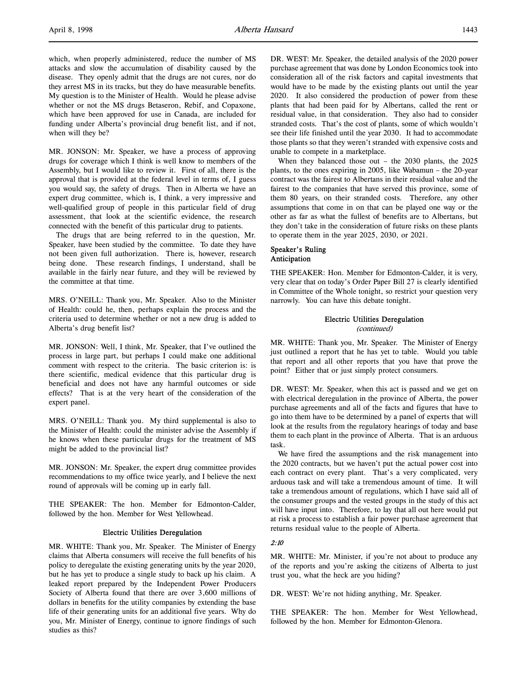which, when properly administered, reduce the number of MS attacks and slow the accumulation of disability caused by the disease. They openly admit that the drugs are not cures, nor do they arrest MS in its tracks, but they do have measurable benefits. My question is to the Minister of Health. Would he please advise whether or not the MS drugs Betaseron, Rebif, and Copaxone, which have been approved for use in Canada, are included for funding under Alberta's provincial drug benefit list, and if not, when will they be?

MR. JONSON: Mr. Speaker, we have a process of approving drugs for coverage which I think is well know to members of the Assembly, but I would like to review it. First of all, there is the approval that is provided at the federal level in terms of, I guess you would say, the safety of drugs. Then in Alberta we have an expert drug committee, which is, I think, a very impressive and well-qualified group of people in this particular field of drug assessment, that look at the scientific evidence, the research connected with the benefit of this particular drug to patients.

The drugs that are being referred to in the question, Mr. Speaker, have been studied by the committee. To date they have not been given full authorization. There is, however, research being done. These research findings, I understand, shall be available in the fairly near future, and they will be reviewed by the committee at that time.

MRS. O'NEILL: Thank you, Mr. Speaker. Also to the Minister of Health: could he, then, perhaps explain the process and the criteria used to determine whether or not a new drug is added to Alberta's drug benefit list?

MR. JONSON: Well, I think, Mr. Speaker, that I've outlined the process in large part, but perhaps I could make one additional comment with respect to the criteria. The basic criterion is: is there scientific, medical evidence that this particular drug is beneficial and does not have any harmful outcomes or side effects? That is at the very heart of the consideration of the expert panel.

MRS. O'NEILL: Thank you. My third supplemental is also to the Minister of Health: could the minister advise the Assembly if he knows when these particular drugs for the treatment of MS might be added to the provincial list?

MR. JONSON: Mr. Speaker, the expert drug committee provides recommendations to my office twice yearly, and I believe the next round of approvals will be coming up in early fall.

THE SPEAKER: The hon. Member for Edmonton-Calder, followed by the hon. Member for West Yellowhead.

#### Electric Utilities Deregulation

MR. WHITE: Thank you, Mr. Speaker. The Minister of Energy claims that Alberta consumers will receive the full benefits of his policy to deregulate the existing generating units by the year 2020, but he has yet to produce a single study to back up his claim. A leaked report prepared by the Independent Power Producers Society of Alberta found that there are over 3,600 millions of dollars in benefits for the utility companies by extending the base life of their generating units for an additional five years. Why do you, Mr. Minister of Energy, continue to ignore findings of such studies as this?

DR. WEST: Mr. Speaker, the detailed analysis of the 2020 power purchase agreement that was done by London Economics took into consideration all of the risk factors and capital investments that would have to be made by the existing plants out until the year 2020. It also considered the production of power from these plants that had been paid for by Albertans, called the rent or residual value, in that consideration. They also had to consider stranded costs. That's the cost of plants, some of which wouldn't see their life finished until the year 2030. It had to accommodate those plants so that they weren't stranded with expensive costs and unable to compete in a marketplace.

When they balanced those out – the 2030 plants, the 2025 plants, to the ones expiring in 2005, like Wabamun – the 20-year contract was the fairest to Albertans in their residual value and the fairest to the companies that have served this province, some of them 80 years, on their stranded costs. Therefore, any other assumptions that come in on that can be played one way or the other as far as what the fullest of benefits are to Albertans, but they don't take in the consideration of future risks on these plants to operate them in the year 2025, 2030, or 2021.

# Speaker's Ruling Anticipation

THE SPEAKER: Hon. Member for Edmonton-Calder, it is very, very clear that on today's Order Paper Bill 27 is clearly identified in Committee of the Whole tonight, so restrict your question very narrowly. You can have this debate tonight.

### Electric Utilities Deregulation (continued)

MR. WHITE: Thank you, Mr. Speaker. The Minister of Energy just outlined a report that he has yet to table. Would you table that report and all other reports that you have that prove the point? Either that or just simply protect consumers.

DR. WEST: Mr. Speaker, when this act is passed and we get on with electrical deregulation in the province of Alberta, the power purchase agreements and all of the facts and figures that have to go into them have to be determined by a panel of experts that will look at the results from the regulatory hearings of today and base them to each plant in the province of Alberta. That is an arduous task.

We have fired the assumptions and the risk management into the 2020 contracts, but we haven't put the actual power cost into each contract on every plant. That's a very complicated, very arduous task and will take a tremendous amount of time. It will take a tremendous amount of regulations, which I have said all of the consumer groups and the vested groups in the study of this act will have input into. Therefore, to lay that all out here would put at risk a process to establish a fair power purchase agreement that returns residual value to the people of Alberta.

### 2:10

MR. WHITE: Mr. Minister, if you're not about to produce any of the reports and you're asking the citizens of Alberta to just trust you, what the heck are you hiding?

DR. WEST: We're not hiding anything, Mr. Speaker.

THE SPEAKER: The hon. Member for West Yellowhead, followed by the hon. Member for Edmonton-Glenora.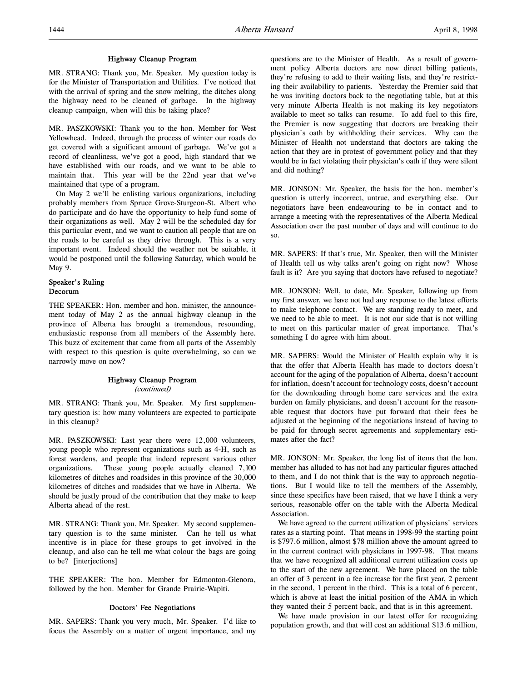### Highway Cleanup Program

MR. STRANG: Thank you, Mr. Speaker. My question today is for the Minister of Transportation and Utilities. I've noticed that with the arrival of spring and the snow melting, the ditches along the highway need to be cleaned of garbage. In the highway cleanup campaign, when will this be taking place?

MR. PASZKOWSKI: Thank you to the hon. Member for West Yellowhead. Indeed, through the process of winter our roads do get covered with a significant amount of garbage. We've got a record of cleanliness, we've got a good, high standard that we have established with our roads, and we want to be able to maintain that. This year will be the 22nd year that we've maintained that type of a program.

On May 2 we'll be enlisting various organizations, including probably members from Spruce Grove-Sturgeon-St. Albert who do participate and do have the opportunity to help fund some of their organizations as well. May 2 will be the scheduled day for this particular event, and we want to caution all people that are on the roads to be careful as they drive through. This is a very important event. Indeed should the weather not be suitable, it would be postponed until the following Saturday, which would be May 9.

# Speaker's Ruling Decorum

THE SPEAKER: Hon. member and hon. minister, the announcement today of May 2 as the annual highway cleanup in the province of Alberta has brought a tremendous, resounding, enthusiastic response from all members of the Assembly here. This buzz of excitement that came from all parts of the Assembly with respect to this question is quite overwhelming, so can we narrowly move on now?

### Highway Cleanup Program (continued)

MR. STRANG: Thank you, Mr. Speaker. My first supplementary question is: how many volunteers are expected to participate in this cleanup?

MR. PASZKOWSKI: Last year there were 12,000 volunteers, young people who represent organizations such as 4-H, such as forest wardens, and people that indeed represent various other organizations. These young people actually cleaned 7,100 kilometres of ditches and roadsides in this province of the 30,000 kilometres of ditches and roadsides that we have in Alberta. We should be justly proud of the contribution that they make to keep Alberta ahead of the rest.

MR. STRANG: Thank you, Mr. Speaker. My second supplementary question is to the same minister. Can he tell us what incentive is in place for these groups to get involved in the cleanup, and also can he tell me what colour the bags are going to be? [interjections]

THE SPEAKER: The hon. Member for Edmonton-Glenora, followed by the hon. Member for Grande Prairie-Wapiti.

### Doctors' Fee Negotiations

MR. SAPERS: Thank you very much, Mr. Speaker. I'd like to focus the Assembly on a matter of urgent importance, and my questions are to the Minister of Health. As a result of government policy Alberta doctors are now direct billing patients, they're refusing to add to their waiting lists, and they're restricting their availability to patients. Yesterday the Premier said that he was inviting doctors back to the negotiating table, but at this very minute Alberta Health is not making its key negotiators available to meet so talks can resume. To add fuel to this fire, the Premier is now suggesting that doctors are breaking their physician's oath by withholding their services. Why can the Minister of Health not understand that doctors are taking the action that they are in protest of government policy and that they would be in fact violating their physician's oath if they were silent and did nothing?

MR. JONSON: Mr. Speaker, the basis for the hon. member's question is utterly incorrect, untrue, and everything else. Our negotiators have been endeavouring to be in contact and to arrange a meeting with the representatives of the Alberta Medical Association over the past number of days and will continue to do so.

MR. SAPERS: If that's true, Mr. Speaker, then will the Minister of Health tell us why talks aren't going on right now? Whose fault is it? Are you saying that doctors have refused to negotiate?

MR. JONSON: Well, to date, Mr. Speaker, following up from my first answer, we have not had any response to the latest efforts to make telephone contact. We are standing ready to meet, and we need to be able to meet. It is not our side that is not willing to meet on this particular matter of great importance. That's something I do agree with him about.

MR. SAPERS: Would the Minister of Health explain why it is that the offer that Alberta Health has made to doctors doesn't account for the aging of the population of Alberta, doesn't account for inflation, doesn't account for technology costs, doesn't account for the downloading through home care services and the extra burden on family physicians, and doesn't account for the reasonable request that doctors have put forward that their fees be adjusted at the beginning of the negotiations instead of having to be paid for through secret agreements and supplementary estimates after the fact?

MR. JONSON: Mr. Speaker, the long list of items that the hon. member has alluded to has not had any particular figures attached to them, and I do not think that is the way to approach negotiations. But I would like to tell the members of the Assembly, since these specifics have been raised, that we have I think a very serious, reasonable offer on the table with the Alberta Medical Association.

We have agreed to the current utilization of physicians' services rates as a starting point. That means in 1998-99 the starting point is \$797.6 million, almost \$78 million above the amount agreed to in the current contract with physicians in 1997-98. That means that we have recognized all additional current utilization costs up to the start of the new agreement. We have placed on the table an offer of 3 percent in a fee increase for the first year, 2 percent in the second, 1 percent in the third. This is a total of 6 percent, which is above at least the initial position of the AMA in which they wanted their 5 percent back, and that is in this agreement.

We have made provision in our latest offer for recognizing population growth, and that will cost an additional \$13.6 million,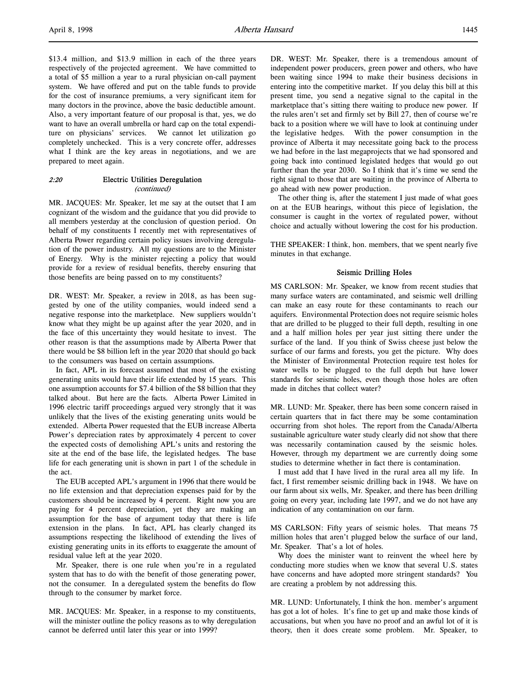\$13.4 million, and \$13.9 million in each of the three years respectively of the projected agreement. We have committed to a total of \$5 million a year to a rural physician on-call payment system. We have offered and put on the table funds to provide for the cost of insurance premiums, a very significant item for many doctors in the province, above the basic deductible amount. Also, a very important feature of our proposal is that, yes, we do want to have an overall umbrella or hard cap on the total expenditure on physicians' services. We cannot let utilization go completely unchecked. This is a very concrete offer, addresses what I think are the key areas in negotiations, and we are prepared to meet again.

### 2:20 Electric Utilities Deregulation (continued)

MR. JACQUES: Mr. Speaker, let me say at the outset that I am cognizant of the wisdom and the guidance that you did provide to all members yesterday at the conclusion of question period. On behalf of my constituents I recently met with representatives of Alberta Power regarding certain policy issues involving deregulation of the power industry. All my questions are to the Minister of Energy. Why is the minister rejecting a policy that would provide for a review of residual benefits, thereby ensuring that those benefits are being passed on to my constituents?

DR. WEST: Mr. Speaker, a review in 2018, as has been suggested by one of the utility companies, would indeed send a negative response into the marketplace. New suppliers wouldn't know what they might be up against after the year 2020, and in the face of this uncertainty they would hesitate to invest. The other reason is that the assumptions made by Alberta Power that there would be \$8 billion left in the year 2020 that should go back to the consumers was based on certain assumptions.

In fact, APL in its forecast assumed that most of the existing generating units would have their life extended by 15 years. This one assumption accounts for \$7.4 billion of the \$8 billion that they talked about. But here are the facts. Alberta Power Limited in 1996 electric tariff proceedings argued very strongly that it was unlikely that the lives of the existing generating units would be extended. Alberta Power requested that the EUB increase Alberta Power's depreciation rates by approximately 4 percent to cover the expected costs of demolishing APL's units and restoring the site at the end of the base life, the legislated hedges. The base life for each generating unit is shown in part 1 of the schedule in the act.

The EUB accepted APL's argument in 1996 that there would be no life extension and that depreciation expenses paid for by the customers should be increased by 4 percent. Right now you are paying for 4 percent depreciation, yet they are making an assumption for the base of argument today that there is life extension in the plans. In fact, APL has clearly changed its assumptions respecting the likelihood of extending the lives of existing generating units in its efforts to exaggerate the amount of residual value left at the year 2020.

Mr. Speaker, there is one rule when you're in a regulated system that has to do with the benefit of those generating power, not the consumer. In a deregulated system the benefits do flow through to the consumer by market force.

MR. JACQUES: Mr. Speaker, in a response to my constituents, will the minister outline the policy reasons as to why deregulation cannot be deferred until later this year or into 1999?

DR. WEST: Mr. Speaker, there is a tremendous amount of independent power producers, green power and others, who have been waiting since 1994 to make their business decisions in entering into the competitive market. If you delay this bill at this present time, you send a negative signal to the capital in the marketplace that's sitting there waiting to produce new power. If the rules aren't set and firmly set by Bill 27, then of course we're back to a position where we will have to look at continuing under the legislative hedges. With the power consumption in the province of Alberta it may necessitate going back to the process we had before in the last megaprojects that we had sponsored and going back into continued legislated hedges that would go out further than the year 2030. So I think that it's time we send the right signal to those that are waiting in the province of Alberta to go ahead with new power production.

The other thing is, after the statement I just made of what goes on at the EUB hearings, without this piece of legislation, the consumer is caught in the vortex of regulated power, without choice and actually without lowering the cost for his production.

THE SPEAKER: I think, hon. members, that we spent nearly five minutes in that exchange.

### Seismic Drilling Holes

MS CARLSON: Mr. Speaker, we know from recent studies that many surface waters are contaminated, and seismic well drilling can make an easy route for these contaminants to reach our aquifers. Environmental Protection does not require seismic holes that are drilled to be plugged to their full depth, resulting in one and a half million holes per year just sitting there under the surface of the land. If you think of Swiss cheese just below the surface of our farms and forests, you get the picture. Why does the Minister of Environmental Protection require test holes for water wells to be plugged to the full depth but have lower standards for seismic holes, even though those holes are often made in ditches that collect water?

MR. LUND: Mr. Speaker, there has been some concern raised in certain quarters that in fact there may be some contamination occurring from shot holes. The report from the Canada/Alberta sustainable agriculture water study clearly did not show that there was necessarily contamination caused by the seismic holes. However, through my department we are currently doing some studies to determine whether in fact there is contamination.

I must add that I have lived in the rural area all my life. In fact, I first remember seismic drilling back in 1948. We have on our farm about six wells, Mr. Speaker, and there has been drilling going on every year, including late 1997, and we do not have any indication of any contamination on our farm.

MS CARLSON: Fifty years of seismic holes. That means 75 million holes that aren't plugged below the surface of our land, Mr. Speaker. That's a lot of holes.

Why does the minister want to reinvent the wheel here by conducting more studies when we know that several U.S. states have concerns and have adopted more stringent standards? You are creating a problem by not addressing this.

MR. LUND: Unfortunately, I think the hon. member's argument has got a lot of holes. It's fine to get up and make those kinds of accusations, but when you have no proof and an awful lot of it is theory, then it does create some problem. Mr. Speaker, to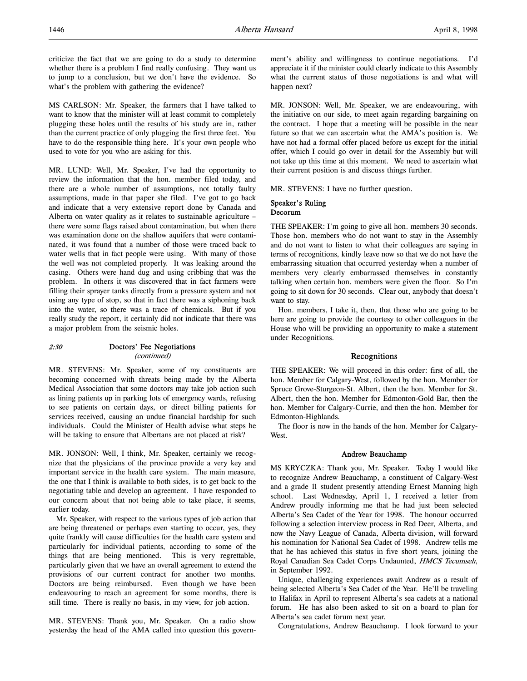criticize the fact that we are going to do a study to determine whether there is a problem I find really confusing. They want us to jump to a conclusion, but we don't have the evidence. So what's the problem with gathering the evidence?

MS CARLSON: Mr. Speaker, the farmers that I have talked to want to know that the minister will at least commit to completely plugging these holes until the results of his study are in, rather than the current practice of only plugging the first three feet. You have to do the responsible thing here. It's your own people who used to vote for you who are asking for this.

MR. LUND: Well, Mr. Speaker, I've had the opportunity to review the information that the hon. member filed today, and there are a whole number of assumptions, not totally faulty assumptions, made in that paper she filed. I've got to go back and indicate that a very extensive report done by Canada and Alberta on water quality as it relates to sustainable agriculture – there were some flags raised about contamination, but when there was examination done on the shallow aquifers that were contaminated, it was found that a number of those were traced back to water wells that in fact people were using. With many of those the well was not completed properly. It was leaking around the casing. Others were hand dug and using cribbing that was the problem. In others it was discovered that in fact farmers were filling their sprayer tanks directly from a pressure system and not using any type of stop, so that in fact there was a siphoning back into the water, so there was a trace of chemicals. But if you really study the report, it certainly did not indicate that there was a major problem from the seismic holes.

### 2:30 Doctors' Fee Negotiations (continued)

MR. STEVENS: Mr. Speaker, some of my constituents are becoming concerned with threats being made by the Alberta Medical Association that some doctors may take job action such as lining patients up in parking lots of emergency wards, refusing to see patients on certain days, or direct billing patients for services received, causing an undue financial hardship for such individuals. Could the Minister of Health advise what steps he will be taking to ensure that Albertans are not placed at risk?

MR. JONSON: Well, I think, Mr. Speaker, certainly we recognize that the physicians of the province provide a very key and important service in the health care system. The main measure, the one that I think is available to both sides, is to get back to the negotiating table and develop an agreement. I have responded to our concern about that not being able to take place, it seems, earlier today.

Mr. Speaker, with respect to the various types of job action that are being threatened or perhaps even starting to occur, yes, they quite frankly will cause difficulties for the health care system and particularly for individual patients, according to some of the things that are being mentioned. This is very regrettable, particularly given that we have an overall agreement to extend the provisions of our current contract for another two months. Doctors are being reimbursed. Even though we have been endeavouring to reach an agreement for some months, there is still time. There is really no basis, in my view, for job action.

MR. STEVENS: Thank you, Mr. Speaker. On a radio show yesterday the head of the AMA called into question this government's ability and willingness to continue negotiations. I'd appreciate it if the minister could clearly indicate to this Assembly what the current status of those negotiations is and what will happen next?

MR. JONSON: Well, Mr. Speaker, we are endeavouring, with the initiative on our side, to meet again regarding bargaining on the contract. I hope that a meeting will be possible in the near future so that we can ascertain what the AMA's position is. We have not had a formal offer placed before us except for the initial offer, which I could go over in detail for the Assembly but will not take up this time at this moment. We need to ascertain what their current position is and discuss things further.

MR. STEVENS: I have no further question.

### Speaker's Ruling Decorum

THE SPEAKER: I'm going to give all hon. members 30 seconds. Those hon. members who do not want to stay in the Assembly and do not want to listen to what their colleagues are saying in terms of recognitions, kindly leave now so that we do not have the embarrassing situation that occurred yesterday when a number of members very clearly embarrassed themselves in constantly talking when certain hon. members were given the floor. So I'm going to sit down for 30 seconds. Clear out, anybody that doesn't want to stay.

Hon. members, I take it, then, that those who are going to be here are going to provide the courtesy to other colleagues in the House who will be providing an opportunity to make a statement under Recognitions.

### Recognitions

THE SPEAKER: We will proceed in this order: first of all, the hon. Member for Calgary-West, followed by the hon. Member for Spruce Grove-Sturgeon-St. Albert, then the hon. Member for St. Albert, then the hon. Member for Edmonton-Gold Bar, then the hon. Member for Calgary-Currie, and then the hon. Member for Edmonton-Highlands.

The floor is now in the hands of the hon. Member for Calgary-West.

### Andrew Beauchamp

MS KRYCZKA: Thank you, Mr. Speaker. Today I would like to recognize Andrew Beauchamp, a constituent of Calgary-West and a grade 11 student presently attending Ernest Manning high school. Last Wednesday, April 1, I received a letter from Andrew proudly informing me that he had just been selected Alberta's Sea Cadet of the Year for 1998. The honour occurred following a selection interview process in Red Deer, Alberta, and now the Navy League of Canada, Alberta division, will forward his nomination for National Sea Cadet of 1998. Andrew tells me that he has achieved this status in five short years, joining the Royal Canadian Sea Cadet Corps Undaunted, HMCS Tecumseh, in September 1992.

Unique, challenging experiences await Andrew as a result of being selected Alberta's Sea Cadet of the Year. He'll be traveling to Halifax in April to represent Alberta's sea cadets at a national forum. He has also been asked to sit on a board to plan for Alberta's sea cadet forum next year.

Congratulations, Andrew Beauchamp. I look forward to your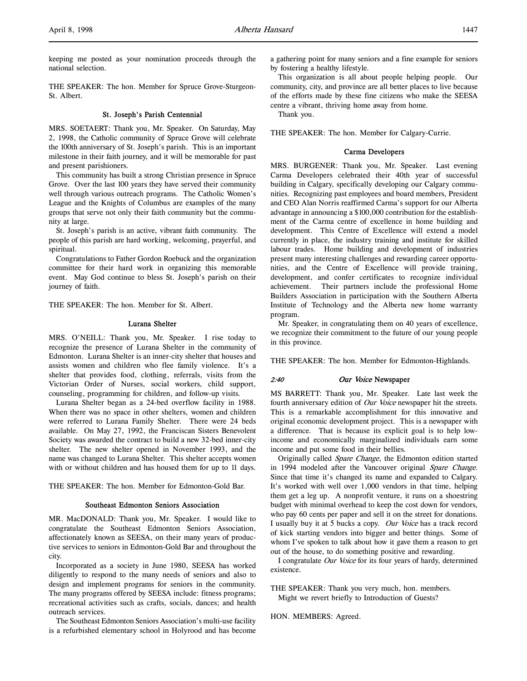keeping me posted as your nomination proceeds through the national selection.

THE SPEAKER: The hon. Member for Spruce Grove-Sturgeon-St. Albert.

### St. Joseph's Parish Centennial

MRS. SOETAERT: Thank you, Mr. Speaker. On Saturday, May 2, 1998, the Catholic community of Spruce Grove will celebrate the 100th anniversary of St. Joseph's parish. This is an important milestone in their faith journey, and it will be memorable for past and present parishioners.

This community has built a strong Christian presence in Spruce Grove. Over the last 100 years they have served their community well through various outreach programs. The Catholic Women's League and the Knights of Columbus are examples of the many groups that serve not only their faith community but the community at large.

St. Joseph's parish is an active, vibrant faith community. The people of this parish are hard working, welcoming, prayerful, and spiritual.

Congratulations to Father Gordon Roebuck and the organization committee for their hard work in organizing this memorable event. May God continue to bless St. Joseph's parish on their journey of faith.

THE SPEAKER: The hon. Member for St. Albert.

#### Lurana Shelter

MRS. O'NEILL: Thank you, Mr. Speaker. I rise today to recognize the presence of Lurana Shelter in the community of Edmonton. Lurana Shelter is an inner-city shelter that houses and assists women and children who flee family violence. It's a shelter that provides food, clothing, referrals, visits from the Victorian Order of Nurses, social workers, child support, counseling, programming for children, and follow-up visits.

Lurana Shelter began as a 24-bed overflow facility in 1988. When there was no space in other shelters, women and children were referred to Lurana Family Shelter. There were 24 beds available. On May 27, 1992, the Franciscan Sisters Benevolent Society was awarded the contract to build a new 32-bed inner-city shelter. The new shelter opened in November 1993, and the name was changed to Lurana Shelter. This shelter accepts women with or without children and has housed them for up to 11 days.

THE SPEAKER: The hon. Member for Edmonton-Gold Bar.

# Southeast Edmonton Seniors Association

MR. MacDONALD: Thank you, Mr. Speaker. I would like to congratulate the Southeast Edmonton Seniors Association, affectionately known as SEESA, on their many years of productive services to seniors in Edmonton-Gold Bar and throughout the city.

Incorporated as a society in June 1980, SEESA has worked diligently to respond to the many needs of seniors and also to design and implement programs for seniors in the community. The many programs offered by SEESA include: fitness programs; recreational activities such as crafts, socials, dances; and health outreach services.

The Southeast Edmonton Seniors Association's multi-use facility is a refurbished elementary school in Holyrood and has become a gathering point for many seniors and a fine example for seniors by fostering a healthy lifestyle.

This organization is all about people helping people. Our community, city, and province are all better places to live because of the efforts made by these fine citizens who make the SEESA centre a vibrant, thriving home away from home.

Thank you.

THE SPEAKER: The hon. Member for Calgary-Currie.

#### Carma Developers

MRS. BURGENER: Thank you, Mr. Speaker. Last evening Carma Developers celebrated their 40th year of successful building in Calgary, specifically developing our Calgary communities. Recognizing past employees and board members, President and CEO Alan Norris reaffirmed Carma's support for our Alberta advantage in announcing a \$100,000 contribution for the establishment of the Carma centre of excellence in home building and development. This Centre of Excellence will extend a model currently in place, the industry training and institute for skilled labour trades. Home building and development of industries present many interesting challenges and rewarding career opportunities, and the Centre of Excellence will provide training, development, and confer certificates to recognize individual achievement. Their partners include the professional Home Builders Association in participation with the Southern Alberta Institute of Technology and the Alberta new home warranty program.

Mr. Speaker, in congratulating them on 40 years of excellence, we recognize their commitment to the future of our young people in this province.

THE SPEAKER: The hon. Member for Edmonton-Highlands.

### 2:40 Our Voice Newspaper

MS BARRETT: Thank you, Mr. Speaker. Late last week the fourth anniversary edition of *Our Voice* newspaper hit the streets. This is a remarkable accomplishment for this innovative and original economic development project. This is a newspaper with a difference. That is because its explicit goal is to help lowincome and economically marginalized individuals earn some income and put some food in their bellies.

Originally called Spare Change, the Edmonton edition started in 1994 modeled after the Vancouver original Spare Change. Since that time it's changed its name and expanded to Calgary. It's worked with well over 1,000 vendors in that time, helping them get a leg up. A nonprofit venture, it runs on a shoestring budget with minimal overhead to keep the cost down for vendors, who pay 60 cents per paper and sell it on the street for donations. I usually buy it at 5 bucks a copy. Our Voice has a track record of kick starting vendors into bigger and better things. Some of whom I've spoken to talk about how it gave them a reason to get out of the house, to do something positive and rewarding.

I congratulate Our Voice for its four years of hardy, determined existence.

THE SPEAKER: Thank you very much, hon. members. Might we revert briefly to Introduction of Guests?

HON. MEMBERS: Agreed.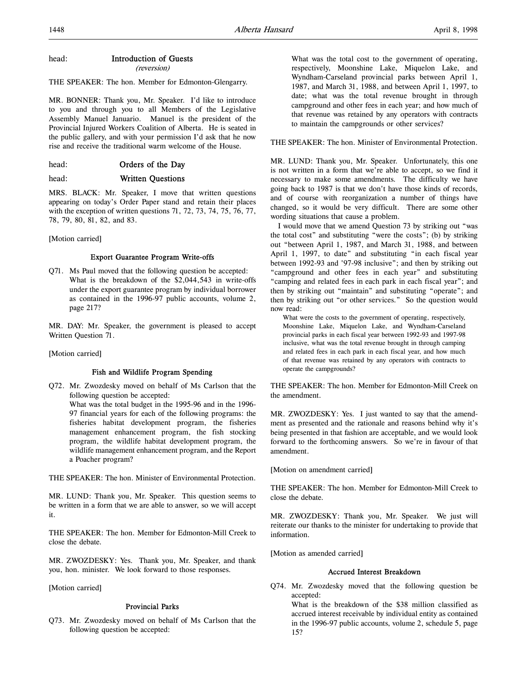# head: **Introduction of Guests**

(reversion)

THE SPEAKER: The hon. Member for Edmonton-Glengarry.

MR. BONNER: Thank you, Mr. Speaker. I'd like to introduce to you and through you to all Members of the Legislative Assembly Manuel Januario. Manuel is the president of the Provincial Injured Workers Coalition of Alberta. He is seated in the public gallery, and with your permission I'd ask that he now rise and receive the traditional warm welcome of the House.

head: **Orders of the Day** 

head: Written Questions

MRS. BLACK: Mr. Speaker, I move that written questions appearing on today's Order Paper stand and retain their places with the exception of written questions 71, 72, 73, 74, 75, 76, 77, 78, 79, 80, 81, 82, and 83.

[Motion carried]

### Export Guarantee Program Write-offs

Q71. Ms Paul moved that the following question be accepted: What is the breakdown of the \$2,044,543 in write-offs under the export guarantee program by individual borrower as contained in the 1996-97 public accounts, volume 2, page 217?

MR. DAY: Mr. Speaker, the government is pleased to accept Written Question 71.

[Motion carried]

### Fish and Wildlife Program Spending

Q72. Mr. Zwozdesky moved on behalf of Ms Carlson that the following question be accepted:

What was the total budget in the 1995-96 and in the 1996- 97 financial years for each of the following programs: the fisheries habitat development program, the fisheries management enhancement program, the fish stocking program, the wildlife habitat development program, the wildlife management enhancement program, and the Report a Poacher program?

THE SPEAKER: The hon. Minister of Environmental Protection.

MR. LUND: Thank you, Mr. Speaker. This question seems to be written in a form that we are able to answer, so we will accept it.

THE SPEAKER: The hon. Member for Edmonton-Mill Creek to close the debate.

MR. ZWOZDESKY: Yes. Thank you, Mr. Speaker, and thank you, hon. minister. We look forward to those responses.

[Motion carried]

# Provincial Parks

Q73. Mr. Zwozdesky moved on behalf of Ms Carlson that the following question be accepted:

What was the total cost to the government of operating, respectively, Moonshine Lake, Miquelon Lake, and Wyndham-Carseland provincial parks between April 1, 1987, and March 31, 1988, and between April 1, 1997, to date; what was the total revenue brought in through campground and other fees in each year; and how much of that revenue was retained by any operators with contracts to maintain the campgrounds or other services?

THE SPEAKER: The hon. Minister of Environmental Protection.

MR. LUND: Thank you, Mr. Speaker. Unfortunately, this one is not written in a form that we're able to accept, so we find it necessary to make some amendments. The difficulty we have going back to 1987 is that we don't have those kinds of records, and of course with reorganization a number of things have changed, so it would be very difficult. There are some other wording situations that cause a problem.

I would move that we amend Question 73 by striking out "was the total cost" and substituting "were the costs"; (b) by striking out "between April 1, 1987, and March 31, 1988, and between April 1, 1997, to date" and substituting "in each fiscal year between 1992-93 and '97-98 inclusive"; and then by striking out "campground and other fees in each year" and substituting "camping and related fees in each park in each fiscal year"; and then by striking out "maintain" and substituting "operate"; and then by striking out "or other services." So the question would now read:

What were the costs to the government of operating, respectively, Moonshine Lake, Miquelon Lake, and Wyndham-Carseland provincial parks in each fiscal year between 1992-93 and 1997-98 inclusive, what was the total revenue brought in through camping and related fees in each park in each fiscal year, and how much of that revenue was retained by any operators with contracts to operate the campgrounds?

THE SPEAKER: The hon. Member for Edmonton-Mill Creek on the amendment.

MR. ZWOZDESKY: Yes. I just wanted to say that the amendment as presented and the rationale and reasons behind why it's being presented in that fashion are acceptable, and we would look forward to the forthcoming answers. So we're in favour of that amendment.

[Motion on amendment carried]

THE SPEAKER: The hon. Member for Edmonton-Mill Creek to close the debate.

MR. ZWOZDESKY: Thank you, Mr. Speaker. We just will reiterate our thanks to the minister for undertaking to provide that information.

[Motion as amended carried]

### Accrued Interest Breakdown

Q74. Mr. Zwozdesky moved that the following question be accepted:

What is the breakdown of the \$38 million classified as accrued interest receivable by individual entity as contained in the 1996-97 public accounts, volume 2, schedule 5, page 15?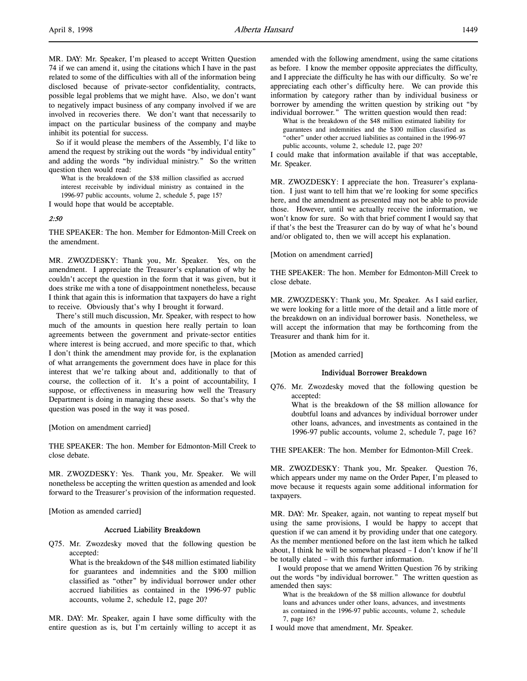MR. DAY: Mr. Speaker, I'm pleased to accept Written Question 74 if we can amend it, using the citations which I have in the past related to some of the difficulties with all of the information being disclosed because of private-sector confidentiality, contracts, possible legal problems that we might have. Also, we don't want to negatively impact business of any company involved if we are involved in recoveries there. We don't want that necessarily to impact on the particular business of the company and maybe inhibit its potential for success.

So if it would please the members of the Assembly, I'd like to amend the request by striking out the words "by individual entity" and adding the words "by individual ministry." So the written question then would read:

What is the breakdown of the \$38 million classified as accrued interest receivable by individual ministry as contained in the 1996-97 public accounts, volume 2, schedule 5, page 15?

I would hope that would be acceptable.

#### 2:50

THE SPEAKER: The hon. Member for Edmonton-Mill Creek on the amendment.

MR. ZWOZDESKY: Thank you, Mr. Speaker. Yes, on the amendment. I appreciate the Treasurer's explanation of why he couldn't accept the question in the form that it was given, but it does strike me with a tone of disappointment nonetheless, because I think that again this is information that taxpayers do have a right to receive. Obviously that's why I brought it forward.

There's still much discussion, Mr. Speaker, with respect to how much of the amounts in question here really pertain to loan agreements between the government and private-sector entities where interest is being accrued, and more specific to that, which I don't think the amendment may provide for, is the explanation of what arrangements the government does have in place for this interest that we're talking about and, additionally to that of course, the collection of it. It's a point of accountability, I suppose, or effectiveness in measuring how well the Treasury Department is doing in managing these assets. So that's why the question was posed in the way it was posed.

[Motion on amendment carried]

THE SPEAKER: The hon. Member for Edmonton-Mill Creek to close debate.

MR. ZWOZDESKY: Yes. Thank you, Mr. Speaker. We will nonetheless be accepting the written question as amended and look forward to the Treasurer's provision of the information requested.

[Motion as amended carried]

#### Accrued Liability Breakdown

Q75. Mr. Zwozdesky moved that the following question be accepted:

> What is the breakdown of the \$48 million estimated liability for guarantees and indemnities and the \$100 million classified as "other" by individual borrower under other accrued liabilities as contained in the 1996-97 public accounts, volume 2, schedule 12, page 20?

MR. DAY: Mr. Speaker, again I have some difficulty with the entire question as is, but I'm certainly willing to accept it as

amended with the following amendment, using the same citations as before. I know the member opposite appreciates the difficulty, and I appreciate the difficulty he has with our difficulty. So we're appreciating each other's difficulty here. We can provide this information by category rather than by individual business or borrower by amending the written question by striking out "by individual borrower." The written question would then read:

What is the breakdown of the \$48 million estimated liability for guarantees and indemnities and the \$100 million classified as "other" under other accrued liabilities as contained in the 1996-97 public accounts, volume 2, schedule 12, page 20?

I could make that information available if that was acceptable, Mr. Speaker.

MR. ZWOZDESKY: I appreciate the hon. Treasurer's explanation. I just want to tell him that we're looking for some specifics here, and the amendment as presented may not be able to provide those. However, until we actually receive the information, we won't know for sure. So with that brief comment I would say that if that's the best the Treasurer can do by way of what he's bound and/or obligated to, then we will accept his explanation.

[Motion on amendment carried]

THE SPEAKER: The hon. Member for Edmonton-Mill Creek to close debate.

MR. ZWOZDESKY: Thank you, Mr. Speaker. As I said earlier, we were looking for a little more of the detail and a little more of the breakdown on an individual borrower basis. Nonetheless, we will accept the information that may be forthcoming from the Treasurer and thank him for it.

[Motion as amended carried]

### Individual Borrower Breakdown

Q76. Mr. Zwozdesky moved that the following question be accepted:

What is the breakdown of the \$8 million allowance for doubtful loans and advances by individual borrower under other loans, advances, and investments as contained in the 1996-97 public accounts, volume 2, schedule 7, page 16?

THE SPEAKER: The hon. Member for Edmonton-Mill Creek.

MR. ZWOZDESKY: Thank you, Mr. Speaker. Question 76, which appears under my name on the Order Paper, I'm pleased to move because it requests again some additional information for taxpayers.

MR. DAY: Mr. Speaker, again, not wanting to repeat myself but using the same provisions, I would be happy to accept that question if we can amend it by providing under that one category. As the member mentioned before on the last item which he talked about, I think he will be somewhat pleased – I don't know if he'll be totally elated – with this further information.

I would propose that we amend Written Question 76 by striking out the words "by individual borrower." The written question as amended then says:

What is the breakdown of the \$8 million allowance for doubtful loans and advances under other loans, advances, and investments as contained in the 1996-97 public accounts, volume 2, schedule 7, page 16?

I would move that amendment, Mr. Speaker.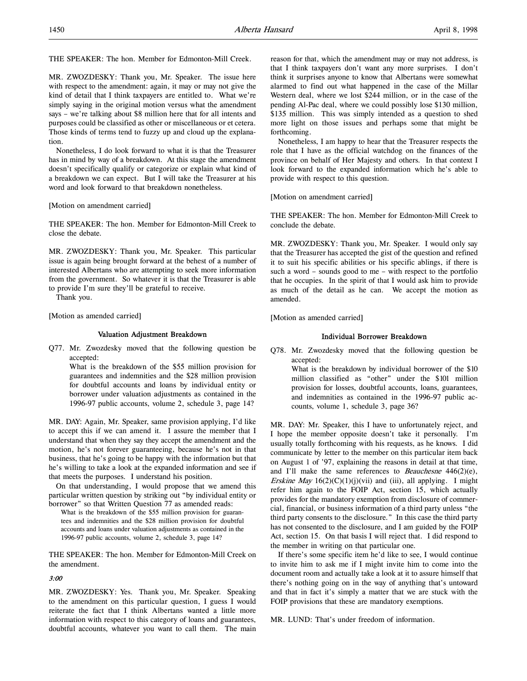THE SPEAKER: The hon. Member for Edmonton-Mill Creek.

MR. ZWOZDESKY: Thank you, Mr. Speaker. The issue here with respect to the amendment: again, it may or may not give the kind of detail that I think taxpayers are entitled to. What we're simply saying in the original motion versus what the amendment says – we're talking about \$8 million here that for all intents and purposes could be classified as other or miscellaneous or et cetera. Those kinds of terms tend to fuzzy up and cloud up the explanation.

Nonetheless, I do look forward to what it is that the Treasurer has in mind by way of a breakdown. At this stage the amendment doesn't specifically qualify or categorize or explain what kind of a breakdown we can expect. But I will take the Treasurer at his word and look forward to that breakdown nonetheless.

[Motion on amendment carried]

THE SPEAKER: The hon. Member for Edmonton-Mill Creek to close the debate.

MR. ZWOZDESKY: Thank you, Mr. Speaker. This particular issue is again being brought forward at the behest of a number of interested Albertans who are attempting to seek more information from the government. So whatever it is that the Treasurer is able to provide I'm sure they'll be grateful to receive.

Thank you.

[Motion as amended carried]

### Valuation Adjustment Breakdown

Q77. Mr. Zwozdesky moved that the following question be accepted:

What is the breakdown of the \$55 million provision for guarantees and indemnities and the \$28 million provision for doubtful accounts and loans by individual entity or borrower under valuation adjustments as contained in the 1996-97 public accounts, volume 2, schedule 3, page 14?

MR. DAY: Again, Mr. Speaker, same provision applying, I'd like to accept this if we can amend it. I assure the member that I understand that when they say they accept the amendment and the motion, he's not forever guaranteeing, because he's not in that business, that he's going to be happy with the information but that he's willing to take a look at the expanded information and see if that meets the purposes. I understand his position.

On that understanding, I would propose that we amend this particular written question by striking out "by individual entity or borrower" so that Written Question 77 as amended reads:

What is the breakdown of the \$55 million provision for guarantees and indemnities and the \$28 million provision for doubtful accounts and loans under valuation adjustments as contained in the 1996-97 public accounts, volume 2, schedule 3, page 14?

THE SPEAKER: The hon. Member for Edmonton-Mill Creek on the amendment.

### 3:00

MR. ZWOZDESKY: Yes. Thank you, Mr. Speaker. Speaking to the amendment on this particular question, I guess I would reiterate the fact that I think Albertans wanted a little more information with respect to this category of loans and guarantees, doubtful accounts, whatever you want to call them. The main

reason for that, which the amendment may or may not address, is that I think taxpayers don't want any more surprises. I don't think it surprises anyone to know that Albertans were somewhat alarmed to find out what happened in the case of the Millar Western deal, where we lost \$244 million, or in the case of the pending Al-Pac deal, where we could possibly lose \$130 million, \$135 million. This was simply intended as a question to shed more light on those issues and perhaps some that might be forthcoming.

Nonetheless, I am happy to hear that the Treasurer respects the role that I have as the official watchdog on the finances of the province on behalf of Her Majesty and others. In that context I look forward to the expanded information which he's able to provide with respect to this question.

[Motion on amendment carried]

THE SPEAKER: The hon. Member for Edmonton-Mill Creek to conclude the debate.

MR. ZWOZDESKY: Thank you, Mr. Speaker. I would only say that the Treasurer has accepted the gist of the question and refined it to suit his specific abilities or his specific ablings, if there is such a word – sounds good to me – with respect to the portfolio that he occupies. In the spirit of that I would ask him to provide as much of the detail as he can. We accept the motion as amended.

[Motion as amended carried]

### Individual Borrower Breakdown

Q78. Mr. Zwozdesky moved that the following question be accepted:

What is the breakdown by individual borrower of the \$10 million classified as "other" under the \$101 million provision for losses, doubtful accounts, loans, guarantees, and indemnities as contained in the 1996-97 public accounts, volume 1, schedule 3, page 36?

MR. DAY: Mr. Speaker, this I have to unfortunately reject, and I hope the member opposite doesn't take it personally. I'm usually totally forthcoming with his requests, as he knows. I did communicate by letter to the member on this particular item back on August 1 of '97, explaining the reasons in detail at that time, and I'll make the same references to *Beauchesne*  $446(2)(e)$ , *Erskine May*  $16(2)(C)(1)(j)(vii)$  and (iii), all applying. I might refer him again to the FOIP Act, section 15, which actually provides for the mandatory exemption from disclosure of commercial, financial, or business information of a third party unless "the third party consents to the disclosure." In this case the third party has not consented to the disclosure, and I am guided by the FOIP Act, section 15. On that basis I will reject that. I did respond to the member in writing on that particular one.

If there's some specific item he'd like to see, I would continue to invite him to ask me if I might invite him to come into the document room and actually take a look at it to assure himself that there's nothing going on in the way of anything that's untoward and that in fact it's simply a matter that we are stuck with the FOIP provisions that these are mandatory exemptions.

MR. LUND: That's under freedom of information.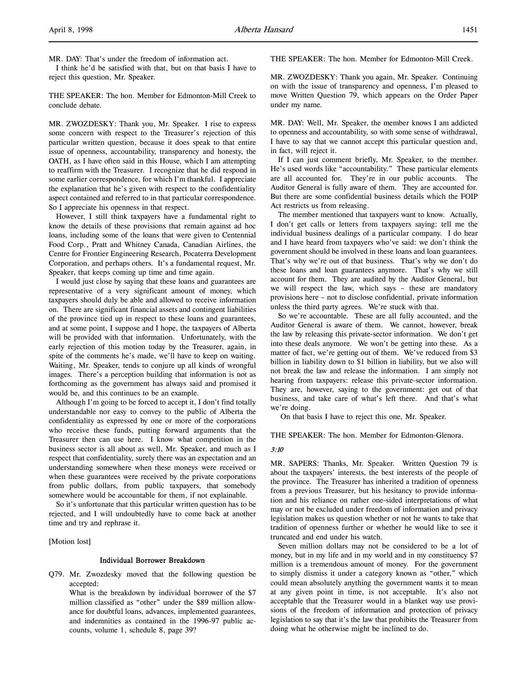I think he'd be satisfied with that, but on that basis I have to reject this question, Mr. Speaker.

THE SPEAKER: The hon. Member for Edmonton-Mill Creek to conclude debate.

MR. ZWOZDESKY: Thank you, Mr. Speaker. I rise to express some concern with respect to the Treasurer's rejection of this particular written question, because it does speak to that entire issue of openness, accountability, transparency and honesty, the OATH, as I have often said in this House, which I am attempting to reaffirm with the Treasurer. I recognize that he did respond in some earlier correspondence, for which I'm thankful. I appreciate the explanation that he's given with respect to the confidentiality aspect contained and referred to in that particular correspondence. So I appreciate his openness in that respect.

However, I still think taxpayers have a fundamental right to know the details of these provisions that remain against ad hoc loans, including some of the loans that were given to Centennial Food Corp., Pratt and Whitney Canada, Canadian Airlines, the Centre for Frontier Engineering Research, Pocaterra Development Corporation, and perhaps others. It's a fundamental request, Mr. Speaker, that keeps coming up time and time again.

I would just close by saying that these loans and guarantees are representative of a very significant amount of money, which taxpayers should duly be able and allowed to receive information on. There are significant financial assets and contingent liabilities of the province tied up in respect to these loans and guarantees, and at some point, I suppose and I hope, the taxpayers of Alberta will be provided with that information. Unfortunately, with the early rejection of this motion today by the Treasurer, again, in spite of the comments he's made, we'll have to keep on waiting. Waiting, Mr. Speaker, tends to conjure up all kinds of wrongful images. There's a perception building that information is not as forthcoming as the government has always said and promised it would be, and this continues to be an example.

Although I'm going to be forced to accept it, I don't find totally understandable nor easy to convey to the public of Alberta the confidentiality as expressed by one or more of the corporations who receive these funds, putting forward arguments that the Treasurer then can use here. I know what competition in the business sector is all about as well, Mr. Speaker, and much as I respect that confidentiality, surely there was an expectation and an understanding somewhere when these moneys were received or when these guarantees were received by the private corporations from public dollars, from public taxpayers, that somebody somewhere would be accountable for them, if not explainable.

So it's unfortunate that this particular written question has to be rejected, and I will undoubtedly have to come back at another time and try and rephrase it.

[Motion lost]

#### Individual Borrower Breakdown

Q79. Mr. Zwozdesky moved that the following question be accepted:

What is the breakdown by individual borrower of the \$7 million classified as "other" under the \$89 million allowance for doubtful loans, advances, implemented guarantees, and indemnities as contained in the 1996-97 public accounts, volume 1, schedule 8, page 39?

THE SPEAKER: The hon. Member for Edmonton-Mill Creek.

MR. ZWOZDESKY: Thank you again, Mr. Speaker. Continuing on with the issue of transparency and openness, I'm pleased to move Written Question 79, which appears on the Order Paper under my name.

MR. DAY: Well, Mr. Speaker, the member knows I am addicted to openness and accountability, so with some sense of withdrawal, I have to say that we cannot accept this particular question and, in fact, will reject it.

If I can just comment briefly, Mr. Speaker, to the member. He's used words like "accountability." These particular elements are all accounted for. They're in our public accounts. The Auditor General is fully aware of them. They are accounted for. But there are some confidential business details which the FOIP Act restricts us from releasing.

The member mentioned that taxpayers want to know. Actually, I don't get calls or letters from taxpayers saying: tell me the individual business dealings of a particular company. I do hear and I have heard from taxpayers who've said: we don't think the government should be involved in these loans and loan guarantees. That's why we're out of that business. That's why we don't do these loans and loan guarantees anymore. That's why we still account for them. They are audited by the Auditor General, but we will respect the law, which says – these are mandatory provisions here – not to disclose confidential, private information unless the third party agrees. We're stuck with that.

So we're accountable. These are all fully accounted, and the Auditor General is aware of them. We cannot, however, break the law by releasing this private-sector information. We don't get into these deals anymore. We won't be getting into these. As a matter of fact, we're getting out of them. We've reduced from \$3 billion in liability down to \$1 billion in liability, but we also will not break the law and release the information. I am simply not hearing from taxpayers: release this private-sector information. They are, however, saying to the government: get out of that business, and take care of what's left there. And that's what we're doing.

On that basis I have to reject this one, Mr. Speaker.

THE SPEAKER: The hon. Member for Edmonton-Glenora.

### 3:10

MR. SAPERS: Thanks, Mr. Speaker. Written Question 79 is about the taxpayers' interests, the best interests of the people of the province. The Treasurer has inherited a tradition of openness from a previous Treasurer, but his hesitancy to provide information and his reliance on rather one-sided interpretations of what may or not be excluded under freedom of information and privacy legislation makes us question whether or not he wants to take that tradition of openness further or whether he would like to see it truncated and end under his watch.

Seven million dollars may not be considered to be a lot of money, but in my life and in my world and in my constituency \$7 million is a tremendous amount of money. For the government to simply dismiss it under a category known as "other," which could mean absolutely anything the government wants it to mean at any given point in time, is not acceptable. It's also not acceptable that the Treasurer would in a blanket way use provisions of the freedom of information and protection of privacy legislation to say that it's the law that prohibits the Treasurer from doing what he otherwise might be inclined to do.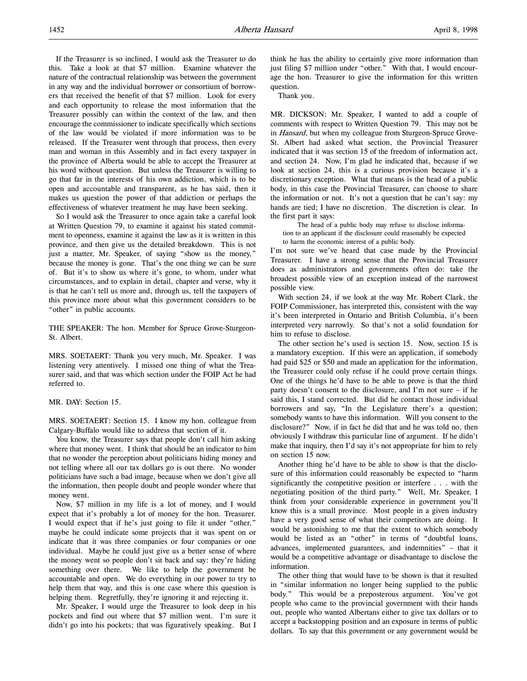If the Treasurer is so inclined, I would ask the Treasurer to do this. Take a look at that \$7 million. Examine whatever the nature of the contractual relationship was between the government in any way and the individual borrower or consortium of borrowers that received the benefit of that \$7 million. Look for every and each opportunity to release the most information that the Treasurer possibly can within the context of the law, and then encourage the commissioner to indicate specifically which sections of the law would be violated if more information was to be released. If the Treasurer went through that process, then every man and woman in this Assembly and in fact every taxpayer in the province of Alberta would be able to accept the Treasurer at his word without question. But unless the Treasurer is willing to go that far in the interests of his own addiction, which is to be open and accountable and transparent, as he has said, then it makes us question the power of that addiction or perhaps the effectiveness of whatever treatment he may have been seeking.

So I would ask the Treasurer to once again take a careful look at Written Question 79, to examine it against his stated commitment to openness, examine it against the law as it is written in this province, and then give us the detailed breakdown. This is not just a matter, Mr. Speaker, of saying "show us the money," because the money is gone. That's the one thing we can be sure of. But it's to show us where it's gone, to whom, under what circumstances, and to explain in detail, chapter and verse, why it is that he can't tell us more and, through us, tell the taxpayers of this province more about what this government considers to be "other" in public accounts.

THE SPEAKER: The hon. Member for Spruce Grove-Sturgeon-St. Albert.

MRS. SOETAERT: Thank you very much, Mr. Speaker. I was listening very attentively. I missed one thing of what the Treasurer said, and that was which section under the FOIP Act he had referred to.

MR. DAY: Section 15.

MRS. SOETAERT: Section 15. I know my hon. colleague from Calgary-Buffalo would like to address that section of it.

You know, the Treasurer says that people don't call him asking where that money went. I think that should be an indicator to him that no wonder the perception about politicians hiding money and not telling where all our tax dollars go is out there. No wonder politicians have such a bad image, because when we don't give all the information, then people doubt and people wonder where that money went.

Now, \$7 million in my life is a lot of money, and I would expect that it's probably a lot of money for the hon. Treasurer. I would expect that if he's just going to file it under "other," maybe he could indicate some projects that it was spent on or indicate that it was three companies or four companies or one individual. Maybe he could just give us a better sense of where the money went so people don't sit back and say: they're hiding something over there. We like to help the government be accountable and open. We do everything in our power to try to help them that way, and this is one case where this question is helping them. Regretfully, they're ignoring it and rejecting it.

Mr. Speaker, I would urge the Treasurer to look deep in his pockets and find out where that \$7 million went. I'm sure it didn't go into his pockets; that was figuratively speaking. But I think he has the ability to certainly give more information than just filing \$7 million under "other." With that, I would encourage the hon. Treasurer to give the information for this written question.

Thank you.

MR. DICKSON: Mr. Speaker, I wanted to add a couple of comments with respect to Written Question 79. This may not be in Hansard, but when my colleague from Sturgeon-Spruce Grove-St. Albert had asked what section, the Provincial Treasurer indicated that it was section 15 of the freedom of information act, and section 24. Now, I'm glad he indicated that, because if we look at section 24, this is a curious provision because it's a discretionary exception. What that means is the head of a public body, in this case the Provincial Treasurer, can choose to share the information or not. It's not a question that he can't say: my hands are tied; I have no discretion. The discretion is clear. In the first part it says:

The head of a public body may refuse to disclose information to an applicant if the disclosure could reasonably be expected to harm the economic interest of a public body.

I'm not sure we've heard that case made by the Provincial Treasurer. I have a strong sense that the Provincial Treasurer does as administrators and governments often do: take the broadest possible view of an exception instead of the narrowest possible view.

With section 24, if we look at the way Mr. Robert Clark, the FOIP Commissioner, has interpreted this, consistent with the way it's been interpreted in Ontario and British Columbia, it's been interpreted very narrowly. So that's not a solid foundation for him to refuse to disclose.

The other section he's used is section 15. Now, section 15 is a mandatory exception. If this were an application, if somebody had paid \$25 or \$50 and made an application for the information, the Treasurer could only refuse if he could prove certain things. One of the things he'd have to be able to prove is that the third party doesn't consent to the disclosure, and I'm not sure – if he said this, I stand corrected. But did he contact those individual borrowers and say, "In the Legislature there's a question; somebody wants to have this information. Will you consent to the disclosure?" Now, if in fact he did that and he was told no, then obviously I withdraw this particular line of argument. If he didn't make that inquiry, then I'd say it's not appropriate for him to rely on section 15 now.

Another thing he'd have to be able to show is that the disclosure of this information could reasonably be expected to "harm significantly the competitive position or interfere . . . with the negotiating position of the third party." Well, Mr. Speaker, I think from your considerable experience in government you'll know this is a small province. Most people in a given industry have a very good sense of what their competitors are doing. It would be astonishing to me that the extent to which somebody would be listed as an "other" in terms of "doubtful loans, advances, implemented guarantees, and indemnities" – that it would be a competitive advantage or disadvantage to disclose the information.

The other thing that would have to be shown is that it resulted in "similar information no longer being supplied to the public body." This would be a preposterous argument. You've got people who came to the provincial government with their hands out, people who wanted Albertans either to give tax dollars or to accept a backstopping position and an exposure in terms of public dollars. To say that this government or any government would be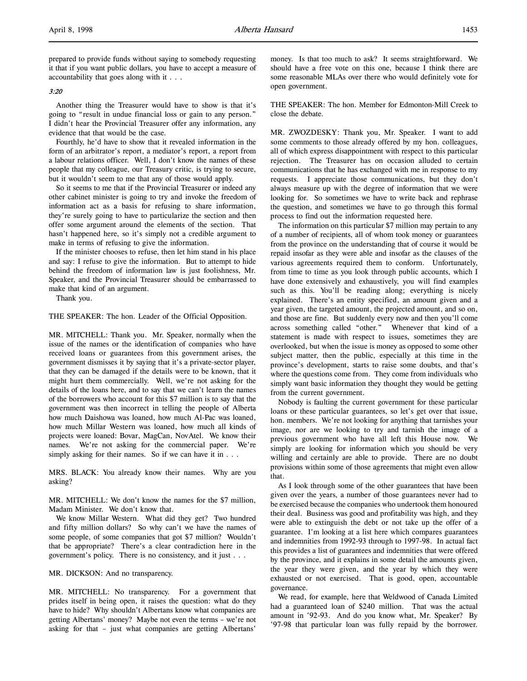prepared to provide funds without saying to somebody requesting it that if you want public dollars, you have to accept a measure of accountability that goes along with it . . .

## 3:20

Another thing the Treasurer would have to show is that it's going to "result in undue financial loss or gain to any person." I didn't hear the Provincial Treasurer offer any information, any evidence that that would be the case.

Fourthly, he'd have to show that it revealed information in the form of an arbitrator's report, a mediator's report, a report from a labour relations officer. Well, I don't know the names of these people that my colleague, our Treasury critic, is trying to secure, but it wouldn't seem to me that any of those would apply.

So it seems to me that if the Provincial Treasurer or indeed any other cabinet minister is going to try and invoke the freedom of information act as a basis for refusing to share information, they're surely going to have to particularize the section and then offer some argument around the elements of the section. That hasn't happened here, so it's simply not a credible argument to make in terms of refusing to give the information.

If the minister chooses to refuse, then let him stand in his place and say: I refuse to give the information. But to attempt to hide behind the freedom of information law is just foolishness, Mr. Speaker, and the Provincial Treasurer should be embarrassed to make that kind of an argument.

Thank you.

THE SPEAKER: The hon. Leader of the Official Opposition.

MR. MITCHELL: Thank you. Mr. Speaker, normally when the issue of the names or the identification of companies who have received loans or guarantees from this government arises, the government dismisses it by saying that it's a private-sector player, that they can be damaged if the details were to be known, that it might hurt them commercially. Well, we're not asking for the details of the loans here, and to say that we can't learn the names of the borrowers who account for this \$7 million is to say that the government was then incorrect in telling the people of Alberta how much Daishowa was loaned, how much Al-Pac was loaned, how much Millar Western was loaned, how much all kinds of projects were loaned: Bovar, MagCan, NovAtel. We know their names. We're not asking for the commercial paper. We're simply asking for their names. So if we can have it in . . .

MRS. BLACK: You already know their names. Why are you asking?

MR. MITCHELL: We don't know the names for the \$7 million, Madam Minister. We don't know that.

We know Millar Western. What did they get? Two hundred and fifty million dollars? So why can't we have the names of some people, of some companies that got \$7 million? Wouldn't that be appropriate? There's a clear contradiction here in the government's policy. There is no consistency, and it just . . .

MR. DICKSON: And no transparency.

MR. MITCHELL: No transparency. For a government that prides itself in being open, it raises the question: what do they have to hide? Why shouldn't Albertans know what companies are getting Albertans' money? Maybe not even the terms – we're not asking for that – just what companies are getting Albertans'

money. Is that too much to ask? It seems straightforward. We should have a free vote on this one, because I think there are some reasonable MLAs over there who would definitely vote for open government.

THE SPEAKER: The hon. Member for Edmonton-Mill Creek to close the debate.

MR. ZWOZDESKY: Thank you, Mr. Speaker. I want to add some comments to those already offered by my hon. colleagues, all of which express disappointment with respect to this particular rejection. The Treasurer has on occasion alluded to certain communications that he has exchanged with me in response to my requests. I appreciate those communications, but they don't always measure up with the degree of information that we were looking for. So sometimes we have to write back and rephrase the question, and sometimes we have to go through this formal process to find out the information requested here.

The information on this particular \$7 million may pertain to any of a number of recipients, all of whom took money or guarantees from the province on the understanding that of course it would be repaid insofar as they were able and insofar as the clauses of the various agreements required them to conform. Unfortunately, from time to time as you look through public accounts, which I have done extensively and exhaustively, you will find examples such as this. You'll be reading along; everything is nicely explained. There's an entity specified, an amount given and a year given, the targeted amount, the projected amount, and so on, and those are fine. But suddenly every now and then you'll come across something called "other." Whenever that kind of a statement is made with respect to issues, sometimes they are overlooked, but when the issue is money as opposed to some other subject matter, then the public, especially at this time in the province's development, starts to raise some doubts, and that's where the questions come from. They come from individuals who simply want basic information they thought they would be getting from the current government.

Nobody is faulting the current government for these particular loans or these particular guarantees, so let's get over that issue, hon. members. We're not looking for anything that tarnishes your image, nor are we looking to try and tarnish the image of a previous government who have all left this House now. We simply are looking for information which you should be very willing and certainly are able to provide. There are no doubt provisions within some of those agreements that might even allow that.

As I look through some of the other guarantees that have been given over the years, a number of those guarantees never had to be exercised because the companies who undertook them honoured their deal. Business was good and profitability was high, and they were able to extinguish the debt or not take up the offer of a guarantee. I'm looking at a list here which compares guarantees and indemnities from 1992-93 through to 1997-98. In actual fact this provides a list of guarantees and indemnities that were offered by the province, and it explains in some detail the amounts given, the year they were given, and the year by which they were exhausted or not exercised. That is good, open, accountable governance.

We read, for example, here that Weldwood of Canada Limited had a guaranteed loan of \$240 million. That was the actual amount in '92-93. And do you know what, Mr. Speaker? By '97-98 that particular loan was fully repaid by the borrower.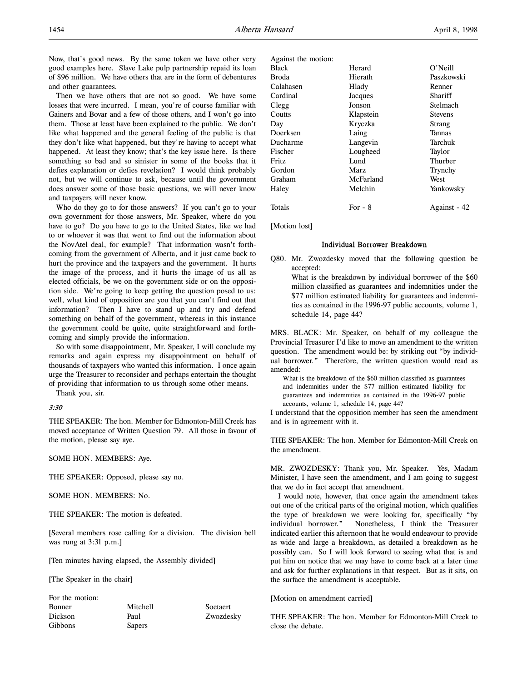Now, that's good news. By the same token we have other very good examples here. Slave Lake pulp partnership repaid its loan of \$96 million. We have others that are in the form of debentures and other guarantees.

Then we have others that are not so good. We have some losses that were incurred. I mean, you're of course familiar with Gainers and Bovar and a few of those others, and I won't go into them. Those at least have been explained to the public. We don't like what happened and the general feeling of the public is that they don't like what happened, but they're having to accept what happened. At least they know; that's the key issue here. Is there something so bad and so sinister in some of the books that it defies explanation or defies revelation? I would think probably not, but we will continue to ask, because until the government does answer some of those basic questions, we will never know and taxpayers will never know.

Who do they go to for those answers? If you can't go to your own government for those answers, Mr. Speaker, where do you have to go? Do you have to go to the United States, like we had to or whoever it was that went to find out the information about the NovAtel deal, for example? That information wasn't forthcoming from the government of Alberta, and it just came back to hurt the province and the taxpayers and the government. It hurts the image of the process, and it hurts the image of us all as elected officials, be we on the government side or on the opposition side. We're going to keep getting the question posed to us: well, what kind of opposition are you that you can't find out that information? Then I have to stand up and try and defend something on behalf of the government, whereas in this instance the government could be quite, quite straightforward and forthcoming and simply provide the information.

So with some disappointment, Mr. Speaker, I will conclude my remarks and again express my disappointment on behalf of thousands of taxpayers who wanted this information. I once again urge the Treasurer to reconsider and perhaps entertain the thought of providing that information to us through some other means.

Thank you, sir.

### 3:30

THE SPEAKER: The hon. Member for Edmonton-Mill Creek has moved acceptance of Written Question 79. All those in favour of the motion, please say aye.

SOME HON. MEMBERS: Aye.

THE SPEAKER: Opposed, please say no.

SOME HON. MEMBERS: No.

THE SPEAKER: The motion is defeated.

[Several members rose calling for a division. The division bell was rung at 3:31 p.m.]

[Ten minutes having elapsed, the Assembly divided]

[The Speaker in the chair]

| For the motion: |          |           |
|-----------------|----------|-----------|
| <b>Bonner</b>   | Mitchell | Soetaert  |
| <b>Dickson</b>  | Paul     | Zwozdesky |
| Gibbons         | Sapers   |           |

| Against the motion: |           |                |
|---------------------|-----------|----------------|
| Black               | Herard    | O'Neill        |
| Broda               | Hierath   | Paszkowski     |
| Calahasen           | Hlady     | Renner         |
| Cardinal            | Jacques   | Shariff        |
| Clegg               | Jonson    | Stelmach       |
| Coutts              | Klapstein | <b>Stevens</b> |
| Day                 | Kryczka   | Strang         |
| Doerksen            | Laing     | Tannas         |
| Ducharme            | Langevin  | Tarchuk        |
| Fischer             | Lougheed  | Taylor         |
| Fritz               | Lund      | Thurber        |
| Gordon              | Marz      | Trynchy        |
| Graham              | McFarland | West           |
| Haley               | Melchin   | Yankowsky      |
| Totals              | For $-8$  | Against - 42   |

[Motion lost]

### Individual Borrower Breakdown

Q80. Mr. Zwozdesky moved that the following question be accepted:

What is the breakdown by individual borrower of the \$60 million classified as guarantees and indemnities under the \$77 million estimated liability for guarantees and indemnities as contained in the 1996-97 public accounts, volume 1, schedule 14, page 44?

MRS. BLACK: Mr. Speaker, on behalf of my colleague the Provincial Treasurer I'd like to move an amendment to the written question. The amendment would be: by striking out "by individual borrower." Therefore, the written question would read as amended:

What is the breakdown of the \$60 million classified as guarantees and indemnities under the \$77 million estimated liability for guarantees and indemnities as contained in the 1996-97 public accounts, volume 1, schedule 14, page 44?

I understand that the opposition member has seen the amendment and is in agreement with it.

THE SPEAKER: The hon. Member for Edmonton-Mill Creek on the amendment.

MR. ZWOZDESKY: Thank you, Mr. Speaker. Yes, Madam Minister, I have seen the amendment, and I am going to suggest that we do in fact accept that amendment.

I would note, however, that once again the amendment takes out one of the critical parts of the original motion, which qualifies the type of breakdown we were looking for, specifically "by individual borrower." Nonetheless, I think the Treasurer indicated earlier this afternoon that he would endeavour to provide as wide and large a breakdown, as detailed a breakdown as he possibly can. So I will look forward to seeing what that is and put him on notice that we may have to come back at a later time and ask for further explanations in that respect. But as it sits, on the surface the amendment is acceptable.

[Motion on amendment carried]

THE SPEAKER: The hon. Member for Edmonton-Mill Creek to close the debate.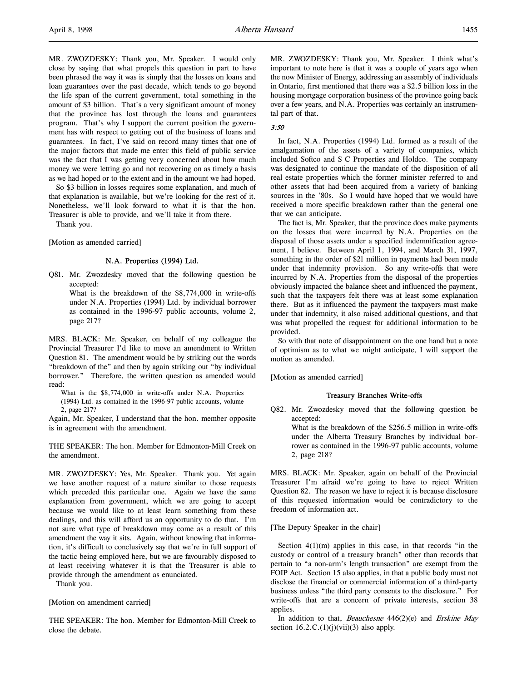MR. ZWOZDESKY: Thank you, Mr. Speaker. I would only close by saying that what propels this question in part to have been phrased the way it was is simply that the losses on loans and loan guarantees over the past decade, which tends to go beyond the life span of the current government, total something in the amount of \$3 billion. That's a very significant amount of money that the province has lost through the loans and guarantees program. That's why I support the current position the government has with respect to getting out of the business of loans and guarantees. In fact, I've said on record many times that one of the major factors that made me enter this field of public service was the fact that I was getting very concerned about how much money we were letting go and not recovering on as timely a basis as we had hoped or to the extent and in the amount we had hoped.

So \$3 billion in losses requires some explanation, and much of that explanation is available, but we're looking for the rest of it. Nonetheless, we'll look forward to what it is that the hon. Treasurer is able to provide, and we'll take it from there.

Thank you.

[Motion as amended carried]

### N.A. Properties (1994) Ltd.

Q81. Mr. Zwozdesky moved that the following question be accepted:

What is the breakdown of the \$8,774,000 in write-offs under N.A. Properties (1994) Ltd. by individual borrower as contained in the 1996-97 public accounts, volume 2, page 217?

MRS. BLACK: Mr. Speaker, on behalf of my colleague the Provincial Treasurer I'd like to move an amendment to Written Question 81. The amendment would be by striking out the words "breakdown of the" and then by again striking out "by individual borrower." Therefore, the written question as amended would read:

What is the \$8,774,000 in write-offs under N.A. Properties (1994) Ltd. as contained in the 1996-97 public accounts, volume 2, page 217?

Again, Mr. Speaker, I understand that the hon. member opposite is in agreement with the amendment.

THE SPEAKER: The hon. Member for Edmonton-Mill Creek on the amendment.

MR. ZWOZDESKY: Yes, Mr. Speaker. Thank you. Yet again we have another request of a nature similar to those requests which preceded this particular one. Again we have the same explanation from government, which we are going to accept because we would like to at least learn something from these dealings, and this will afford us an opportunity to do that. I'm not sure what type of breakdown may come as a result of this amendment the way it sits. Again, without knowing that information, it's difficult to conclusively say that we're in full support of the tactic being employed here, but we are favourably disposed to at least receiving whatever it is that the Treasurer is able to provide through the amendment as enunciated.

Thank you.

[Motion on amendment carried]

THE SPEAKER: The hon. Member for Edmonton-Mill Creek to close the debate.

MR. ZWOZDESKY: Thank you, Mr. Speaker. I think what's important to note here is that it was a couple of years ago when the now Minister of Energy, addressing an assembly of individuals in Ontario, first mentioned that there was a \$2.5 billion loss in the housing mortgage corporation business of the province going back over a few years, and N.A. Properties was certainly an instrumental part of that.

# 3:50

In fact, N.A. Properties (1994) Ltd. formed as a result of the amalgamation of the assets of a variety of companies, which included Softco and S C Properties and Holdco. The company was designated to continue the mandate of the disposition of all real estate properties which the former minister referred to and other assets that had been acquired from a variety of banking sources in the '80s. So I would have hoped that we would have received a more specific breakdown rather than the general one that we can anticipate.

The fact is, Mr. Speaker, that the province does make payments on the losses that were incurred by N.A. Properties on the disposal of those assets under a specified indemnification agreement, I believe. Between April 1, 1994, and March 31, 1997, something in the order of \$21 million in payments had been made under that indemnity provision. So any write-offs that were incurred by N.A. Properties from the disposal of the properties obviously impacted the balance sheet and influenced the payment, such that the taxpayers felt there was at least some explanation there. But as it influenced the payment the taxpayers must make under that indemnity, it also raised additional questions, and that was what propelled the request for additional information to be provided.

So with that note of disappointment on the one hand but a note of optimism as to what we might anticipate, I will support the motion as amended.

[Motion as amended carried]

### Treasury Branches Write-offs

Q82. Mr. Zwozdesky moved that the following question be accepted:

What is the breakdown of the \$256.5 million in write-offs under the Alberta Treasury Branches by individual borrower as contained in the 1996-97 public accounts, volume 2, page 218?

MRS. BLACK: Mr. Speaker, again on behalf of the Provincial Treasurer I'm afraid we're going to have to reject Written Question 82. The reason we have to reject it is because disclosure of this requested information would be contradictory to the freedom of information act.

#### [The Deputy Speaker in the chair]

Section  $4(1)(m)$  applies in this case, in that records "in the custody or control of a treasury branch" other than records that pertain to "a non-arm's length transaction" are exempt from the FOIP Act. Section 15 also applies, in that a public body must not disclose the financial or commercial information of a third-party business unless "the third party consents to the disclosure." For write-offs that are a concern of private interests, section 38 applies.

In addition to that, Beauchesne  $446(2)(e)$  and Erskine May section  $16.2.C.(1)(j)(vii)(3)$  also apply.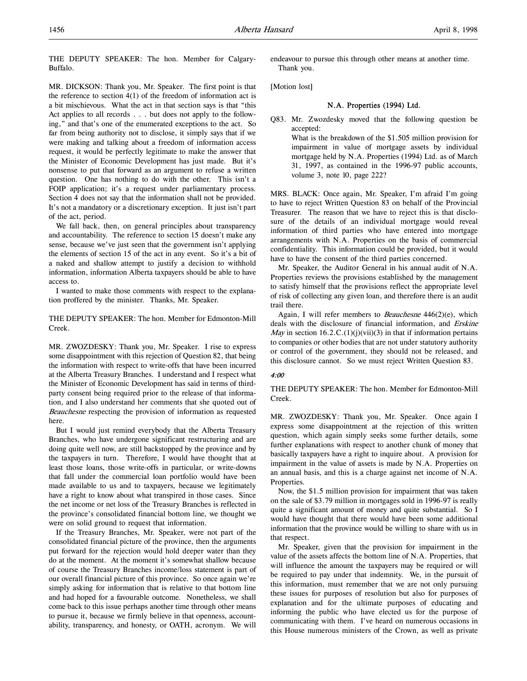THE DEPUTY SPEAKER: The hon. Member for Calgary-Buffalo.

MR. DICKSON: Thank you, Mr. Speaker. The first point is that the reference to section  $4(1)$  of the freedom of information act is a bit mischievous. What the act in that section says is that "this Act applies to all records . . . but does not apply to the following," and that's one of the enumerated exceptions to the act. So far from being authority not to disclose, it simply says that if we were making and talking about a freedom of information access request, it would be perfectly legitimate to make the answer that the Minister of Economic Development has just made. But it's nonsense to put that forward as an argument to refuse a written question. One has nothing to do with the other. This isn't a FOIP application; it's a request under parliamentary process. Section 4 does not say that the information shall not be provided. It's not a mandatory or a discretionary exception. It just isn't part of the act, period.

We fall back, then, on general principles about transparency and accountability. The reference to section 15 doesn't make any sense, because we've just seen that the government isn't applying the elements of section 15 of the act in any event. So it's a bit of a naked and shallow attempt to justify a decision to withhold information, information Alberta taxpayers should be able to have access to.

I wanted to make those comments with respect to the explanation proffered by the minister. Thanks, Mr. Speaker.

THE DEPUTY SPEAKER: The hon. Member for Edmonton-Mill Creek.

MR. ZWOZDESKY: Thank you, Mr. Speaker. I rise to express some disappointment with this rejection of Question 82, that being the information with respect to write-offs that have been incurred at the Alberta Treasury Branches. I understand and I respect what the Minister of Economic Development has said in terms of thirdparty consent being required prior to the release of that information, and I also understand her comments that she quoted out of Beauchesne respecting the provision of information as requested here.

But I would just remind everybody that the Alberta Treasury Branches, who have undergone significant restructuring and are doing quite well now, are still backstopped by the province and by the taxpayers in turn. Therefore, I would have thought that at least those loans, those write-offs in particular, or write-downs that fall under the commercial loan portfolio would have been made available to us and to taxpayers, because we legitimately have a right to know about what transpired in those cases. Since the net income or net loss of the Treasury Branches is reflected in the province's consolidated financial bottom line, we thought we were on solid ground to request that information.

If the Treasury Branches, Mr. Speaker, were not part of the consolidated financial picture of the province, then the arguments put forward for the rejection would hold deeper water than they do at the moment. At the moment it's somewhat shallow because of course the Treasury Branches income/loss statement is part of our overall financial picture of this province. So once again we're simply asking for information that is relative to that bottom line and had hoped for a favourable outcome. Nonetheless, we shall come back to this issue perhaps another time through other means to pursue it, because we firmly believe in that openness, accountability, transparency, and honesty, or OATH, acronym. We will

endeavour to pursue this through other means at another time. Thank you.

[Motion lost]

### N.A. Properties (1994) Ltd.

Q83. Mr. Zwozdesky moved that the following question be accepted:

What is the breakdown of the \$1.505 million provision for impairment in value of mortgage assets by individual mortgage held by N.A. Properties (1994) Ltd. as of March 31, 1997, as contained in the 1996-97 public accounts, volume 3, note 10, page 222?

MRS. BLACK: Once again, Mr. Speaker, I'm afraid I'm going to have to reject Written Question 83 on behalf of the Provincial Treasurer. The reason that we have to reject this is that disclosure of the details of an individual mortgage would reveal information of third parties who have entered into mortgage arrangements with N.A. Properties on the basis of commercial confidentiality. This information could be provided, but it would have to have the consent of the third parties concerned.

Mr. Speaker, the Auditor General in his annual audit of N.A. Properties reviews the provisions established by the management to satisfy himself that the provisions reflect the appropriate level of risk of collecting any given loan, and therefore there is an audit trail there.

Again, I will refer members to *Beauchesne*  $446(2)(e)$ , which deals with the disclosure of financial information, and Erskine *May* in section 16.2.C.(1)(j)(vii)(3) in that if information pertains to companies or other bodies that are not under statutory authority or control of the government, they should not be released, and this disclosure cannot. So we must reject Written Question 83.

### 4:00

THE DEPUTY SPEAKER: The hon. Member for Edmonton-Mill Creek.

MR. ZWOZDESKY: Thank you, Mr. Speaker. Once again I express some disappointment at the rejection of this written question, which again simply seeks some further details, some further explanations with respect to another chunk of money that basically taxpayers have a right to inquire about. A provision for impairment in the value of assets is made by N.A. Properties on an annual basis, and this is a charge against net income of N.A. Properties.

Now, the \$1.5 million provision for impairment that was taken on the sale of \$3.79 million in mortgages sold in 1996-97 is really quite a significant amount of money and quite substantial. So I would have thought that there would have been some additional information that the province would be willing to share with us in that respect.

Mr. Speaker, given that the provision for impairment in the value of the assets affects the bottom line of N.A. Properties, that will influence the amount the taxpayers may be required or will be required to pay under that indemnity. We, in the pursuit of this information, must remember that we are not only pursuing these issues for purposes of resolution but also for purposes of explanation and for the ultimate purposes of educating and informing the public who have elected us for the purpose of communicating with them. I've heard on numerous occasions in this House numerous ministers of the Crown, as well as private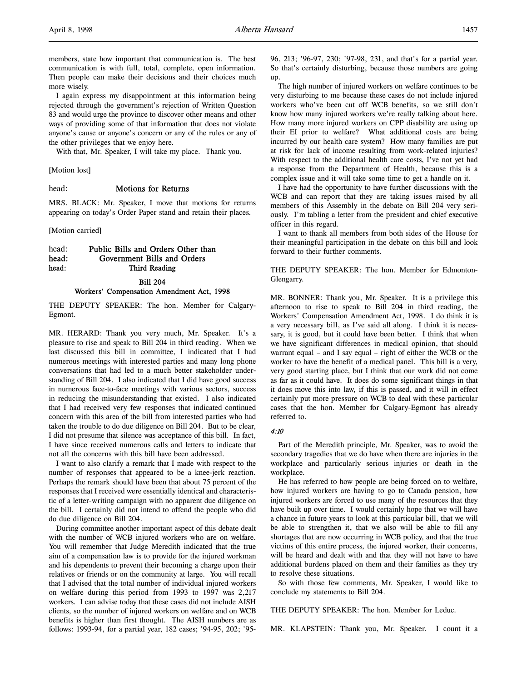more wisely.

members, state how important that communication is. The best communication is with full, total, complete, open information. Then people can make their decisions and their choices much

I again express my disappointment at this information being rejected through the government's rejection of Written Question 83 and would urge the province to discover other means and other ways of providing some of that information that does not violate anyone's cause or anyone's concern or any of the rules or any of the other privileges that we enjoy here.

With that, Mr. Speaker, I will take my place. Thank you.

[Motion lost]

head: Motions for Returns

MRS. BLACK: Mr. Speaker, I move that motions for returns appearing on today's Order Paper stand and retain their places.

[Motion carried]

# head: Public Bills and Orders Other than head: Government Bills and Orders head: Third Reading

### Bill 204 Workers' Compensation Amendment Act, 1998

THE DEPUTY SPEAKER: The hon. Member for Calgary-Egmont.

MR. HERARD: Thank you very much, Mr. Speaker. It's a pleasure to rise and speak to Bill 204 in third reading. When we last discussed this bill in committee, I indicated that I had numerous meetings with interested parties and many long phone conversations that had led to a much better stakeholder understanding of Bill 204. I also indicated that I did have good success in numerous face-to-face meetings with various sectors, success in reducing the misunderstanding that existed. I also indicated that I had received very few responses that indicated continued concern with this area of the bill from interested parties who had taken the trouble to do due diligence on Bill 204. But to be clear, I did not presume that silence was acceptance of this bill. In fact, I have since received numerous calls and letters to indicate that not all the concerns with this bill have been addressed.

I want to also clarify a remark that I made with respect to the number of responses that appeared to be a knee-jerk reaction. Perhaps the remark should have been that about 75 percent of the responses that I received were essentially identical and characteristic of a letter-writing campaign with no apparent due diligence on the bill. I certainly did not intend to offend the people who did do due diligence on Bill 204.

During committee another important aspect of this debate dealt with the number of WCB injured workers who are on welfare. You will remember that Judge Meredith indicated that the true aim of a compensation law is to provide for the injured workman and his dependents to prevent their becoming a charge upon their relatives or friends or on the community at large. You will recall that I advised that the total number of individual injured workers on welfare during this period from 1993 to 1997 was 2,217 workers. I can advise today that these cases did not include AISH clients, so the number of injured workers on welfare and on WCB benefits is higher than first thought. The AISH numbers are as follows: 1993-94, for a partial year, 182 cases; '94-95, 202; '9596, 213; '96-97, 230; '97-98, 231, and that's for a partial year. So that's certainly disturbing, because those numbers are going up.

The high number of injured workers on welfare continues to be very disturbing to me because these cases do not include injured workers who've been cut off WCB benefits, so we still don't know how many injured workers we're really talking about here. How many more injured workers on CPP disability are using up their EI prior to welfare? What additional costs are being incurred by our health care system? How many families are put at risk for lack of income resulting from work-related injuries? With respect to the additional health care costs, I've not yet had a response from the Department of Health, because this is a complex issue and it will take some time to get a handle on it.

I have had the opportunity to have further discussions with the WCB and can report that they are taking issues raised by all members of this Assembly in the debate on Bill 204 very seriously. I'm tabling a letter from the president and chief executive officer in this regard.

I want to thank all members from both sides of the House for their meaningful participation in the debate on this bill and look forward to their further comments.

THE DEPUTY SPEAKER: The hon. Member for Edmonton-Glengarry.

MR. BONNER: Thank you, Mr. Speaker. It is a privilege this afternoon to rise to speak to Bill 204 in third reading, the Workers' Compensation Amendment Act, 1998. I do think it is a very necessary bill, as I've said all along. I think it is necessary, it is good, but it could have been better. I think that when we have significant differences in medical opinion, that should warrant equal – and I say equal – right of either the WCB or the worker to have the benefit of a medical panel. This bill is a very, very good starting place, but I think that our work did not come as far as it could have. It does do some significant things in that it does move this into law, if this is passed, and it will in effect certainly put more pressure on WCB to deal with these particular cases that the hon. Member for Calgary-Egmont has already referred to.

#### 4:10

Part of the Meredith principle, Mr. Speaker, was to avoid the secondary tragedies that we do have when there are injuries in the workplace and particularly serious injuries or death in the workplace.

He has referred to how people are being forced on to welfare, how injured workers are having to go to Canada pension, how injured workers are forced to use many of the resources that they have built up over time. I would certainly hope that we will have a chance in future years to look at this particular bill, that we will be able to strengthen it, that we also will be able to fill any shortages that are now occurring in WCB policy, and that the true victims of this entire process, the injured worker, their concerns, will be heard and dealt with and that they will not have to have additional burdens placed on them and their families as they try to resolve these situations.

So with those few comments, Mr. Speaker, I would like to conclude my statements to Bill 204.

THE DEPUTY SPEAKER: The hon. Member for Leduc.

MR. KLAPSTEIN: Thank you, Mr. Speaker. I count it a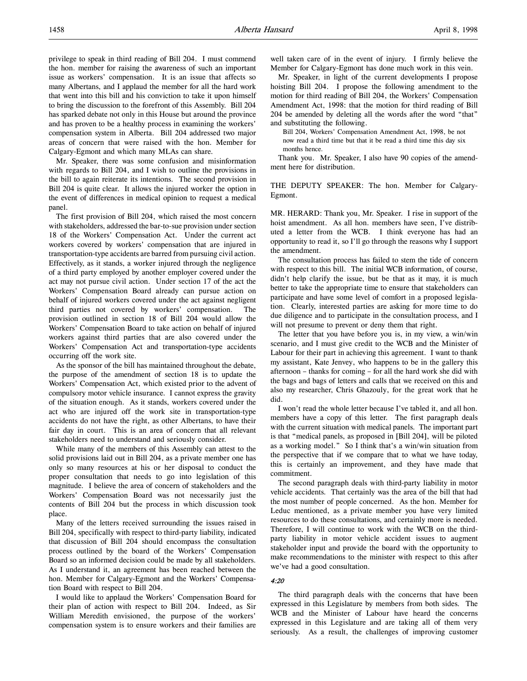privilege to speak in third reading of Bill 204. I must commend the hon. member for raising the awareness of such an important issue as workers' compensation. It is an issue that affects so many Albertans, and I applaud the member for all the hard work that went into this bill and his conviction to take it upon himself to bring the discussion to the forefront of this Assembly. Bill 204 has sparked debate not only in this House but around the province and has proven to be a healthy process in examining the workers' compensation system in Alberta. Bill 204 addressed two major areas of concern that were raised with the hon. Member for Calgary-Egmont and which many MLAs can share.

Mr. Speaker, there was some confusion and misinformation with regards to Bill 204, and I wish to outline the provisions in the bill to again reiterate its intentions. The second provision in Bill 204 is quite clear. It allows the injured worker the option in the event of differences in medical opinion to request a medical panel.

The first provision of Bill 204, which raised the most concern with stakeholders, addressed the bar-to-sue provision under section 18 of the Workers' Compensation Act. Under the current act workers covered by workers' compensation that are injured in transportation-type accidents are barred from pursuing civil action. Effectively, as it stands, a worker injured through the negligence of a third party employed by another employer covered under the act may not pursue civil action. Under section 17 of the act the Workers' Compensation Board already can pursue action on behalf of injured workers covered under the act against negligent third parties not covered by workers' compensation. The provision outlined in section 18 of Bill 204 would allow the Workers' Compensation Board to take action on behalf of injured workers against third parties that are also covered under the Workers' Compensation Act and transportation-type accidents occurring off the work site.

As the sponsor of the bill has maintained throughout the debate, the purpose of the amendment of section 18 is to update the Workers' Compensation Act, which existed prior to the advent of compulsory motor vehicle insurance. I cannot express the gravity of the situation enough. As it stands, workers covered under the act who are injured off the work site in transportation-type accidents do not have the right, as other Albertans, to have their fair day in court. This is an area of concern that all relevant stakeholders need to understand and seriously consider.

While many of the members of this Assembly can attest to the solid provisions laid out in Bill 204, as a private member one has only so many resources at his or her disposal to conduct the proper consultation that needs to go into legislation of this magnitude. I believe the area of concern of stakeholders and the Workers' Compensation Board was not necessarily just the contents of Bill 204 but the process in which discussion took place.

Many of the letters received surrounding the issues raised in Bill 204, specifically with respect to third-party liability, indicated that discussion of Bill 204 should encompass the consultation process outlined by the board of the Workers' Compensation Board so an informed decision could be made by all stakeholders. As I understand it, an agreement has been reached between the hon. Member for Calgary-Egmont and the Workers' Compensation Board with respect to Bill 204.

I would like to applaud the Workers' Compensation Board for their plan of action with respect to Bill 204. Indeed, as Sir William Meredith envisioned, the purpose of the workers' compensation system is to ensure workers and their families are

well taken care of in the event of injury. I firmly believe the Member for Calgary-Egmont has done much work in this vein.

Mr. Speaker, in light of the current developments I propose hoisting Bill 204. I propose the following amendment to the motion for third reading of Bill 204, the Workers' Compensation Amendment Act, 1998: that the motion for third reading of Bill 204 be amended by deleting all the words after the word "that" and substituting the following.

Bill 204, Workers' Compensation Amendment Act, 1998, be not now read a third time but that it be read a third time this day six months hence.

Thank you. Mr. Speaker, I also have 90 copies of the amendment here for distribution.

THE DEPUTY SPEAKER: The hon. Member for Calgary-Egmont.

MR. HERARD: Thank you, Mr. Speaker. I rise in support of the hoist amendment. As all hon. members have seen, I've distributed a letter from the WCB. I think everyone has had an opportunity to read it, so I'll go through the reasons why I support the amendment.

The consultation process has failed to stem the tide of concern with respect to this bill. The initial WCB information, of course, didn't help clarify the issue, but be that as it may, it is much better to take the appropriate time to ensure that stakeholders can participate and have some level of comfort in a proposed legislation. Clearly, interested parties are asking for more time to do due diligence and to participate in the consultation process, and I will not presume to prevent or deny them that right.

The letter that you have before you is, in my view, a win/win scenario, and I must give credit to the WCB and the Minister of Labour for their part in achieving this agreement. I want to thank my assistant, Kate Jenvey, who happens to be in the gallery this afternoon – thanks for coming – for all the hard work she did with the bags and bags of letters and calls that we received on this and also my researcher, Chris Ghazouly, for the great work that he did.

I won't read the whole letter because I've tabled it, and all hon. members have a copy of this letter. The first paragraph deals with the current situation with medical panels. The important part is that "medical panels, as proposed in [Bill 204], will be piloted as a working model." So I think that's a win/win situation from the perspective that if we compare that to what we have today, this is certainly an improvement, and they have made that commitment.

The second paragraph deals with third-party liability in motor vehicle accidents. That certainly was the area of the bill that had the most number of people concerned. As the hon. Member for Leduc mentioned, as a private member you have very limited resources to do these consultations, and certainly more is needed. Therefore, I will continue to work with the WCB on the thirdparty liability in motor vehicle accident issues to augment stakeholder input and provide the board with the opportunity to make recommendations to the minister with respect to this after we've had a good consultation.

#### 4:20

The third paragraph deals with the concerns that have been expressed in this Legislature by members from both sides. The WCB and the Minister of Labour have heard the concerns expressed in this Legislature and are taking all of them very seriously. As a result, the challenges of improving customer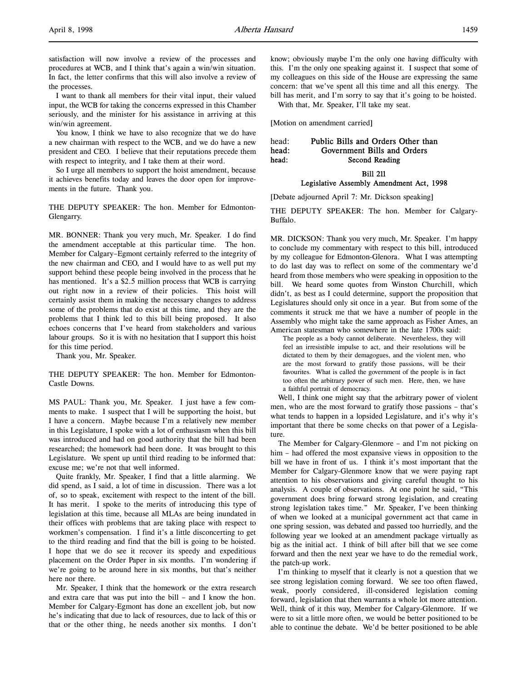satisfaction will now involve a review of the processes and procedures at WCB, and I think that's again a win/win situation. In fact, the letter confirms that this will also involve a review of the processes.

I want to thank all members for their vital input, their valued input, the WCB for taking the concerns expressed in this Chamber seriously, and the minister for his assistance in arriving at this win/win agreement.

You know, I think we have to also recognize that we do have a new chairman with respect to the WCB, and we do have a new president and CEO. I believe that their reputations precede them with respect to integrity, and I take them at their word.

So I urge all members to support the hoist amendment, because it achieves benefits today and leaves the door open for improvements in the future. Thank you.

THE DEPUTY SPEAKER: The hon. Member for Edmonton-Glengarry.

MR. BONNER: Thank you very much, Mr. Speaker. I do find the amendment acceptable at this particular time. The hon. Member for Calgary–Egmont certainly referred to the integrity of the new chairman and CEO, and I would have to as well put my support behind these people being involved in the process that he has mentioned. It's a \$2.5 million process that WCB is carrying out right now in a review of their policies. This hoist will certainly assist them in making the necessary changes to address some of the problems that do exist at this time, and they are the problems that I think led to this bill being proposed. It also echoes concerns that I've heard from stakeholders and various labour groups. So it is with no hesitation that I support this hoist for this time period.

Thank you, Mr. Speaker.

THE DEPUTY SPEAKER: The hon. Member for Edmonton-Castle Downs.

MS PAUL: Thank you, Mr. Speaker. I just have a few comments to make. I suspect that I will be supporting the hoist, but I have a concern. Maybe because I'm a relatively new member in this Legislature, I spoke with a lot of enthusiasm when this bill was introduced and had on good authority that the bill had been researched; the homework had been done. It was brought to this Legislature. We spent up until third reading to be informed that: excuse me; we're not that well informed.

Quite frankly, Mr. Speaker, I find that a little alarming. We did spend, as I said, a lot of time in discussion. There was a lot of, so to speak, excitement with respect to the intent of the bill. It has merit. I spoke to the merits of introducing this type of legislation at this time, because all MLAs are being inundated in their offices with problems that are taking place with respect to workmen's compensation. I find it's a little disconcerting to get to the third reading and find that the bill is going to be hoisted. I hope that we do see it recover its speedy and expeditious placement on the Order Paper in six months. I'm wondering if we're going to be around here in six months, but that's neither here nor there.

Mr. Speaker, I think that the homework or the extra research and extra care that was put into the bill – and I know the hon. Member for Calgary-Egmont has done an excellent job, but now he's indicating that due to lack of resources, due to lack of this or that or the other thing, he needs another six months. I don't know; obviously maybe I'm the only one having difficulty with this. I'm the only one speaking against it. I suspect that some of my colleagues on this side of the House are expressing the same concern: that we've spent all this time and all this energy. The bill has merit, and I'm sorry to say that it's going to be hoisted.

With that, Mr. Speaker, I'll take my seat.

[Motion on amendment carried]

# head: Public Bills and Orders Other than<br>head: Government Bills and Orders Government Bills and Orders head: Second Reading

Bill 211

## Legislative Assembly Amendment Act, 1998

[Debate adjourned April 7: Mr. Dickson speaking]

THE DEPUTY SPEAKER: The hon. Member for Calgary-Buffalo.

MR. DICKSON: Thank you very much, Mr. Speaker. I'm happy to conclude my commentary with respect to this bill, introduced by my colleague for Edmonton-Glenora. What I was attempting to do last day was to reflect on some of the commentary we'd heard from those members who were speaking in opposition to the bill. We heard some quotes from Winston Churchill, which didn't, as best as I could determine, support the proposition that Legislatures should only sit once in a year. But from some of the comments it struck me that we have a number of people in the Assembly who might take the same approach as Fisher Ames, an American statesman who somewhere in the late 1700s said:

The people as a body cannot deliberate. Nevertheless, they will feel an irresistible impulse to act, and their resolutions will be dictated to them by their demagogues, and the violent men, who are the most forward to gratify those passions, will be their favourites. What is called the government of the people is in fact too often the arbitrary power of such men. Here, then, we have a faithful portrait of democracy.

Well, I think one might say that the arbitrary power of violent men, who are the most forward to gratify those passions – that's what tends to happen in a lopsided Legislature, and it's why it's important that there be some checks on that power of a Legislature.

The Member for Calgary-Glenmore – and I'm not picking on him – had offered the most expansive views in opposition to the bill we have in front of us. I think it's most important that the Member for Calgary-Glenmore know that we were paying rapt attention to his observations and giving careful thought to his analysis. A couple of observations. At one point he said, "This government does bring forward strong legislation, and creating strong legislation takes time." Mr. Speaker, I've been thinking of when we looked at a municipal government act that came in one spring session, was debated and passed too hurriedly, and the following year we looked at an amendment package virtually as big as the initial act. I think of bill after bill that we see come forward and then the next year we have to do the remedial work, the patch-up work.

I'm thinking to myself that it clearly is not a question that we see strong legislation coming forward. We see too often flawed, weak, poorly considered, ill-considered legislation coming forward, legislation that then warrants a whole lot more attention. Well, think of it this way, Member for Calgary-Glenmore. If we were to sit a little more often, we would be better positioned to be able to continue the debate. We'd be better positioned to be able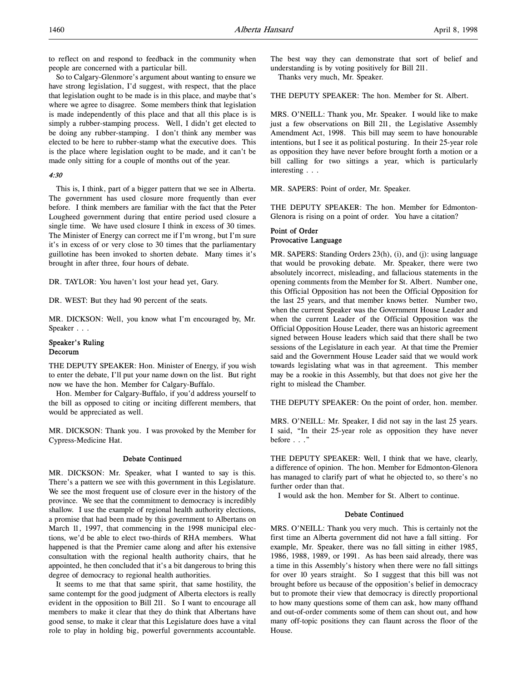to reflect on and respond to feedback in the community when people are concerned with a particular bill.

So to Calgary-Glenmore's argument about wanting to ensure we have strong legislation, I'd suggest, with respect, that the place that legislation ought to be made is in this place, and maybe that's where we agree to disagree. Some members think that legislation is made independently of this place and that all this place is is simply a rubber-stamping process. Well, I didn't get elected to be doing any rubber-stamping. I don't think any member was elected to be here to rubber-stamp what the executive does. This is the place where legislation ought to be made, and it can't be made only sitting for a couple of months out of the year.

### 4:30

This is, I think, part of a bigger pattern that we see in Alberta. The government has used closure more frequently than ever before. I think members are familiar with the fact that the Peter Lougheed government during that entire period used closure a single time. We have used closure I think in excess of 30 times. The Minister of Energy can correct me if I'm wrong, but I'm sure it's in excess of or very close to 30 times that the parliamentary guillotine has been invoked to shorten debate. Many times it's brought in after three, four hours of debate.

DR. TAYLOR: You haven't lost your head yet, Gary.

DR. WEST: But they had 90 percent of the seats.

MR. DICKSON: Well, you know what I'm encouraged by, Mr. Speaker . . .

### Speaker's Ruling Decorum

THE DEPUTY SPEAKER: Hon. Minister of Energy, if you wish to enter the debate, I'll put your name down on the list. But right now we have the hon. Member for Calgary-Buffalo.

Hon. Member for Calgary-Buffalo, if you'd address yourself to the bill as opposed to citing or inciting different members, that would be appreciated as well.

MR. DICKSON: Thank you. I was provoked by the Member for Cypress-Medicine Hat.

## Debate Continued

MR. DICKSON: Mr. Speaker, what I wanted to say is this. There's a pattern we see with this government in this Legislature. We see the most frequent use of closure ever in the history of the province. We see that the commitment to democracy is incredibly shallow. I use the example of regional health authority elections, a promise that had been made by this government to Albertans on March 11, 1997, that commencing in the 1998 municipal elections, we'd be able to elect two-thirds of RHA members. What happened is that the Premier came along and after his extensive consultation with the regional health authority chairs, that he appointed, he then concluded that it's a bit dangerous to bring this degree of democracy to regional health authorities.

It seems to me that that same spirit, that same hostility, the same contempt for the good judgment of Alberta electors is really evident in the opposition to Bill 211. So I want to encourage all members to make it clear that they do think that Albertans have good sense, to make it clear that this Legislature does have a vital role to play in holding big, powerful governments accountable.

The best way they can demonstrate that sort of belief and understanding is by voting positively for Bill 211. Thanks very much, Mr. Speaker.

THE DEPUTY SPEAKER: The hon. Member for St. Albert.

MRS. O'NEILL: Thank you, Mr. Speaker. I would like to make just a few observations on Bill 211, the Legislative Assembly Amendment Act, 1998. This bill may seem to have honourable intentions, but I see it as political posturing. In their 25-year role as opposition they have never before brought forth a motion or a bill calling for two sittings a year, which is particularly interesting . . .

MR. SAPERS: Point of order, Mr. Speaker.

THE DEPUTY SPEAKER: The hon. Member for Edmonton-Glenora is rising on a point of order. You have a citation?

# Point of Order Provocative Language

MR. SAPERS: Standing Orders 23(h), (i), and (j): using language that would be provoking debate. Mr. Speaker, there were two absolutely incorrect, misleading, and fallacious statements in the opening comments from the Member for St. Albert. Number one, this Official Opposition has not been the Official Opposition for the last 25 years, and that member knows better. Number two, when the current Speaker was the Government House Leader and when the current Leader of the Official Opposition was the Official Opposition House Leader, there was an historic agreement signed between House leaders which said that there shall be two sessions of the Legislature in each year. At that time the Premier said and the Government House Leader said that we would work towards legislating what was in that agreement. This member may be a rookie in this Assembly, but that does not give her the right to mislead the Chamber.

THE DEPUTY SPEAKER: On the point of order, hon. member.

MRS. O'NEILL: Mr. Speaker, I did not say in the last 25 years. I said, "In their 25-year role as opposition they have never before . . ."

THE DEPUTY SPEAKER: Well, I think that we have, clearly, a difference of opinion. The hon. Member for Edmonton-Glenora has managed to clarify part of what he objected to, so there's no further order than that.

I would ask the hon. Member for St. Albert to continue.

### Debate Continued

MRS. O'NEILL: Thank you very much. This is certainly not the first time an Alberta government did not have a fall sitting. For example, Mr. Speaker, there was no fall sitting in either 1985, 1986, 1988, 1989, or 1991. As has been said already, there was a time in this Assembly's history when there were no fall sittings for over 10 years straight. So I suggest that this bill was not brought before us because of the opposition's belief in democracy but to promote their view that democracy is directly proportional to how many questions some of them can ask, how many offhand and out-of-order comments some of them can shout out, and how many off-topic positions they can flaunt across the floor of the House.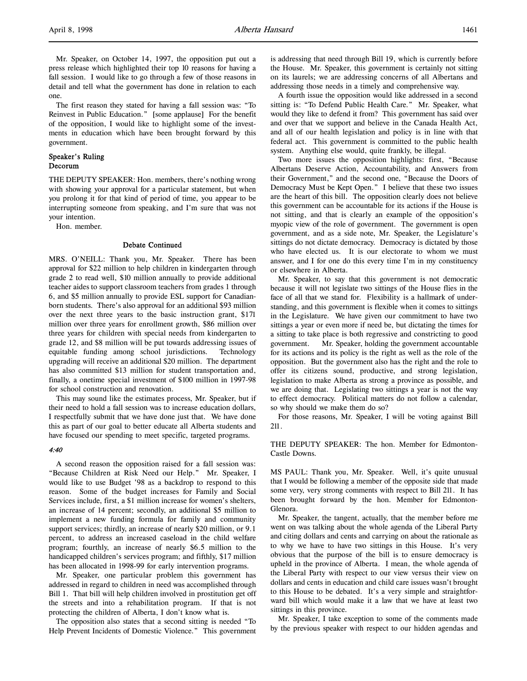Mr. Speaker, on October 14, 1997, the opposition put out a press release which highlighted their top 10 reasons for having a fall session. I would like to go through a few of those reasons in detail and tell what the government has done in relation to each one.

The first reason they stated for having a fall session was: "To Reinvest in Public Education." [some applause] For the benefit of the opposition, I would like to highlight some of the investments in education which have been brought forward by this government.

### Speaker's Ruling Decorum

THE DEPUTY SPEAKER: Hon. members, there's nothing wrong with showing your approval for a particular statement, but when you prolong it for that kind of period of time, you appear to be interrupting someone from speaking, and I'm sure that was not your intention.

Hon. member.

### Debate Continued

MRS. O'NEILL: Thank you, Mr. Speaker. There has been approval for \$22 million to help children in kindergarten through grade 2 to read well, \$10 million annually to provide additional teacher aides to support classroom teachers from grades 1 through 6, and \$5 million annually to provide ESL support for Canadianborn students. There's also approval for an additional \$93 million over the next three years to the basic instruction grant, \$171 million over three years for enrollment growth, \$86 million over three years for children with special needs from kindergarten to grade 12, and \$8 million will be put towards addressing issues of equitable funding among school jurisdictions. Technology upgrading will receive an additional \$20 million. The department has also committed \$13 million for student transportation and, finally, a onetime special investment of \$100 million in 1997-98 for school construction and renovation.

This may sound like the estimates process, Mr. Speaker, but if their need to hold a fall session was to increase education dollars, I respectfully submit that we have done just that. We have done this as part of our goal to better educate all Alberta students and have focused our spending to meet specific, targeted programs.

### 4:40

A second reason the opposition raised for a fall session was: "Because Children at Risk Need our Help." Mr. Speaker, I would like to use Budget '98 as a backdrop to respond to this reason. Some of the budget increases for Family and Social Services include, first, a \$1 million increase for women's shelters, an increase of 14 percent; secondly, an additional \$5 million to implement a new funding formula for family and community support services; thirdly, an increase of nearly \$20 million, or 9.1 percent, to address an increased caseload in the child welfare program; fourthly, an increase of nearly \$6.5 million to the handicapped children's services program; and fifthly, \$17 million has been allocated in 1998-99 for early intervention programs.

Mr. Speaker, one particular problem this government has addressed in regard to children in need was accomplished through Bill 1. That bill will help children involved in prostitution get off the streets and into a rehabilitation program. If that is not protecting the children of Alberta, I don't know what is.

The opposition also states that a second sitting is needed "To Help Prevent Incidents of Domestic Violence." This government is addressing that need through Bill 19, which is currently before the House. Mr. Speaker, this government is certainly not sitting on its laurels; we are addressing concerns of all Albertans and addressing those needs in a timely and comprehensive way.

A fourth issue the opposition would like addressed in a second sitting is: "To Defend Public Health Care." Mr. Speaker, what would they like to defend it from? This government has said over and over that we support and believe in the Canada Health Act, and all of our health legislation and policy is in line with that federal act. This government is committed to the public health system. Anything else would, quite frankly, be illegal.

Two more issues the opposition highlights: first, "Because Albertans Deserve Action, Accountability, and Answers from their Government," and the second one, "Because the Doors of Democracy Must be Kept Open." I believe that these two issues are the heart of this bill. The opposition clearly does not believe this government can be accountable for its actions if the House is not sitting, and that is clearly an example of the opposition's myopic view of the role of government. The government is open government, and as a side note, Mr. Speaker, the Legislature's sittings do not dictate democracy. Democracy is dictated by those who have elected us. It is our electorate to whom we must answer, and I for one do this every time I'm in my constituency or elsewhere in Alberta.

Mr. Speaker, to say that this government is not democratic because it will not legislate two sittings of the House flies in the face of all that we stand for. Flexibility is a hallmark of understanding, and this government is flexible when it comes to sittings in the Legislature. We have given our commitment to have two sittings a year or even more if need be, but dictating the times for a sitting to take place is both regressive and constricting to good government. Mr. Speaker, holding the government accountable for its actions and its policy is the right as well as the role of the opposition. But the government also has the right and the role to offer its citizens sound, productive, and strong legislation, legislation to make Alberta as strong a province as possible, and we are doing that. Legislating two sittings a year is not the way to effect democracy. Political matters do not follow a calendar, so why should we make them do so?

For those reasons, Mr. Speaker, I will be voting against Bill 211.

THE DEPUTY SPEAKER: The hon. Member for Edmonton-Castle Downs.

MS PAUL: Thank you, Mr. Speaker. Well, it's quite unusual that I would be following a member of the opposite side that made some very, very strong comments with respect to Bill 211. It has been brought forward by the hon. Member for Edmonton-Glenora.

Mr. Speaker, the tangent, actually, that the member before me went on was talking about the whole agenda of the Liberal Party and citing dollars and cents and carrying on about the rationale as to why we have to have two sittings in this House. It's very obvious that the purpose of the bill is to ensure democracy is upheld in the province of Alberta. I mean, the whole agenda of the Liberal Party with respect to our view versus their view on dollars and cents in education and child care issues wasn't brought to this House to be debated. It's a very simple and straightforward bill which would make it a law that we have at least two sittings in this province.

Mr. Speaker, I take exception to some of the comments made by the previous speaker with respect to our hidden agendas and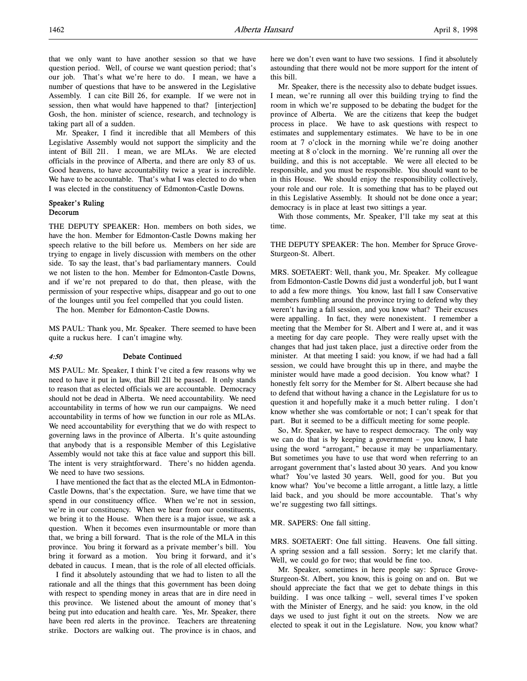taking part all of a sudden. Mr. Speaker, I find it incredible that all Members of this Legislative Assembly would not support the simplicity and the intent of Bill 211. I mean, we are MLAs. We are elected officials in the province of Alberta, and there are only 83 of us. Good heavens, to have accountability twice a year is incredible. We have to be accountable. That's what I was elected to do when I was elected in the constituency of Edmonton-Castle Downs.

# Speaker's Ruling Decorum

THE DEPUTY SPEAKER: Hon. members on both sides, we have the hon. Member for Edmonton-Castle Downs making her speech relative to the bill before us. Members on her side are trying to engage in lively discussion with members on the other side. To say the least, that's bad parliamentary manners. Could we not listen to the hon. Member for Edmonton-Castle Downs, and if we're not prepared to do that, then please, with the permission of your respective whips, disappear and go out to one of the lounges until you feel compelled that you could listen.

The hon. Member for Edmonton-Castle Downs.

MS PAUL: Thank you, Mr. Speaker. There seemed to have been quite a ruckus here. I can't imagine why.

### 4:50 Debate Continued

MS PAUL: Mr. Speaker, I think I've cited a few reasons why we need to have it put in law, that Bill 211 be passed. It only stands to reason that as elected officials we are accountable. Democracy should not be dead in Alberta. We need accountability. We need accountability in terms of how we run our campaigns. We need accountability in terms of how we function in our role as MLAs. We need accountability for everything that we do with respect to governing laws in the province of Alberta. It's quite astounding that anybody that is a responsible Member of this Legislative Assembly would not take this at face value and support this bill. The intent is very straightforward. There's no hidden agenda. We need to have two sessions.

I have mentioned the fact that as the elected MLA in Edmonton-Castle Downs, that's the expectation. Sure, we have time that we spend in our constituency office. When we're not in session, we're in our constituency. When we hear from our constituents, we bring it to the House. When there is a major issue, we ask a question. When it becomes even insurmountable or more than that, we bring a bill forward. That is the role of the MLA in this province. You bring it forward as a private member's bill. You bring it forward as a motion. You bring it forward, and it's debated in caucus. I mean, that is the role of all elected officials.

I find it absolutely astounding that we had to listen to all the rationale and all the things that this government has been doing with respect to spending money in areas that are in dire need in this province. We listened about the amount of money that's being put into education and health care. Yes, Mr. Speaker, there have been red alerts in the province. Teachers are threatening strike. Doctors are walking out. The province is in chaos, and

here we don't even want to have two sessions. I find it absolutely astounding that there would not be more support for the intent of this bill.

Mr. Speaker, there is the necessity also to debate budget issues. I mean, we're running all over this building trying to find the room in which we're supposed to be debating the budget for the province of Alberta. We are the citizens that keep the budget process in place. We have to ask questions with respect to estimates and supplementary estimates. We have to be in one room at 7 o'clock in the morning while we're doing another meeting at 8 o'clock in the morning. We're running all over the building, and this is not acceptable. We were all elected to be responsible, and you must be responsible. You should want to be in this House. We should enjoy the responsibility collectively, your role and our role. It is something that has to be played out in this Legislative Assembly. It should not be done once a year; democracy is in place at least two sittings a year.

With those comments, Mr. Speaker, I'll take my seat at this time.

THE DEPUTY SPEAKER: The hon. Member for Spruce Grove-Sturgeon-St. Albert.

MRS. SOETAERT: Well, thank you, Mr. Speaker. My colleague from Edmonton-Castle Downs did just a wonderful job, but I want to add a few more things. You know, last fall I saw Conservative members fumbling around the province trying to defend why they weren't having a fall session, and you know what? Their excuses were appalling. In fact, they were nonexistent. I remember a meeting that the Member for St. Albert and I were at, and it was a meeting for day care people. They were really upset with the changes that had just taken place, just a directive order from the minister. At that meeting I said: you know, if we had had a fall session, we could have brought this up in there, and maybe the minister would have made a good decision. You know what? I honestly felt sorry for the Member for St. Albert because she had to defend that without having a chance in the Legislature for us to question it and hopefully make it a much better ruling. I don't know whether she was comfortable or not; I can't speak for that part. But it seemed to be a difficult meeting for some people.

So, Mr. Speaker, we have to respect democracy. The only way we can do that is by keeping a government – you know, I hate using the word "arrogant," because it may be unparliamentary. But sometimes you have to use that word when referring to an arrogant government that's lasted about 30 years. And you know what? You've lasted 30 years. Well, good for you. But you know what? You've become a little arrogant, a little lazy, a little laid back, and you should be more accountable. That's why we're suggesting two fall sittings.

#### MR. SAPERS: One fall sitting.

MRS. SOETAERT: One fall sitting. Heavens. One fall sitting. A spring session and a fall session. Sorry; let me clarify that. Well, we could go for two; that would be fine too.

Mr. Speaker, sometimes in here people say: Spruce Grove-Sturgeon-St. Albert, you know, this is going on and on. But we should appreciate the fact that we get to debate things in this building. I was once talking – well, several times I've spoken with the Minister of Energy, and he said: you know, in the old days we used to just fight it out on the streets. Now we are elected to speak it out in the Legislature. Now, you know what?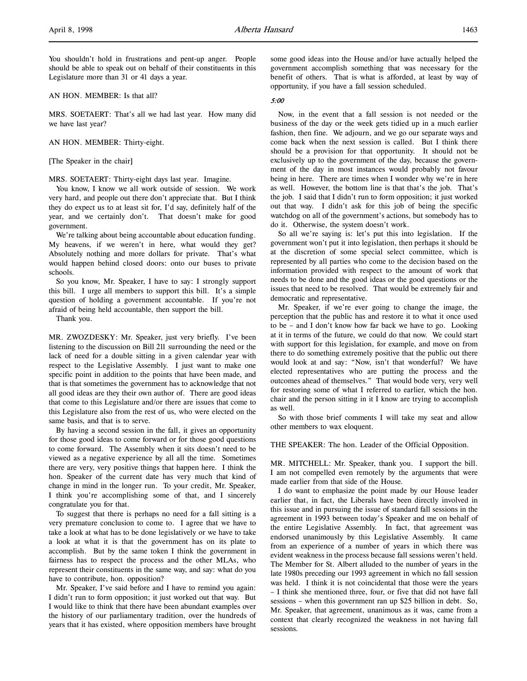You shouldn't hold in frustrations and pent-up anger. People should be able to speak out on behalf of their constituents in this Legislature more than 31 or 41 days a year.

AN HON. MEMBER: Is that all?

MRS. SOETAERT: That's all we had last year. How many did we have last year?

AN HON. MEMBER: Thirty-eight.

[The Speaker in the chair]

MRS. SOETAERT: Thirty-eight days last year. Imagine.

You know, I know we all work outside of session. We work very hard, and people out there don't appreciate that. But I think they do expect us to at least sit for, I'd say, definitely half of the year, and we certainly don't. That doesn't make for good government.

We're talking about being accountable about education funding. My heavens, if we weren't in here, what would they get? Absolutely nothing and more dollars for private. That's what would happen behind closed doors: onto our buses to private schools.

So you know, Mr. Speaker, I have to say: I strongly support this bill. I urge all members to support this bill. It's a simple question of holding a government accountable. If you're not afraid of being held accountable, then support the bill.

Thank you.

MR. ZWOZDESKY: Mr. Speaker, just very briefly. I've been listening to the discussion on Bill 211 surrounding the need or the lack of need for a double sitting in a given calendar year with respect to the Legislative Assembly. I just want to make one specific point in addition to the points that have been made, and that is that sometimes the government has to acknowledge that not all good ideas are they their own author of. There are good ideas that come to this Legislature and/or there are issues that come to this Legislature also from the rest of us, who were elected on the same basis, and that is to serve.

By having a second session in the fall, it gives an opportunity for those good ideas to come forward or for those good questions to come forward. The Assembly when it sits doesn't need to be viewed as a negative experience by all all the time. Sometimes there are very, very positive things that happen here. I think the hon. Speaker of the current date has very much that kind of change in mind in the longer run. To your credit, Mr. Speaker, I think you're accomplishing some of that, and I sincerely congratulate you for that.

To suggest that there is perhaps no need for a fall sitting is a very premature conclusion to come to. I agree that we have to take a look at what has to be done legislatively or we have to take a look at what it is that the government has on its plate to accomplish. But by the same token I think the government in fairness has to respect the process and the other MLAs, who represent their constituents in the same way, and say: what do you have to contribute, hon. opposition?

Mr. Speaker, I've said before and I have to remind you again: I didn't run to form opposition; it just worked out that way. But I would like to think that there have been abundant examples over the history of our parliamentary tradition, over the hundreds of years that it has existed, where opposition members have brought

some good ideas into the House and/or have actually helped the government accomplish something that was necessary for the benefit of others. That is what is afforded, at least by way of opportunity, if you have a fall session scheduled.

### 5:00

Now, in the event that a fall session is not needed or the business of the day or the week gets tidied up in a much earlier fashion, then fine. We adjourn, and we go our separate ways and come back when the next session is called. But I think there should be a provision for that opportunity. It should not be exclusively up to the government of the day, because the government of the day in most instances would probably not favour being in here. There are times when I wonder why we're in here as well. However, the bottom line is that that's the job. That's the job. I said that I didn't run to form opposition; it just worked out that way. I didn't ask for this job of being the specific watchdog on all of the government's actions, but somebody has to do it. Otherwise, the system doesn't work.

So all we're saying is: let's put this into legislation. If the government won't put it into legislation, then perhaps it should be at the discretion of some special select committee, which is represented by all parties who come to the decision based on the information provided with respect to the amount of work that needs to be done and the good ideas or the good questions or the issues that need to be resolved. That would be extremely fair and democratic and representative.

Mr. Speaker, if we're ever going to change the image, the perception that the public has and restore it to what it once used to be – and I don't know how far back we have to go. Looking at it in terms of the future, we could do that now. We could start with support for this legislation, for example, and move on from there to do something extremely positive that the public out there would look at and say: "Now, isn't that wonderful? We have elected representatives who are putting the process and the outcomes ahead of themselves." That would bode very, very well for restoring some of what I referred to earlier, which the hon. chair and the person sitting in it I know are trying to accomplish as well.

So with those brief comments I will take my seat and allow other members to wax eloquent.

THE SPEAKER: The hon. Leader of the Official Opposition.

MR. MITCHELL: Mr. Speaker, thank you. I support the bill. I am not compelled even remotely by the arguments that were made earlier from that side of the House.

I do want to emphasize the point made by our House leader earlier that, in fact, the Liberals have been directly involved in this issue and in pursuing the issue of standard fall sessions in the agreement in 1993 between today's Speaker and me on behalf of the entire Legislative Assembly. In fact, that agreement was endorsed unanimously by this Legislative Assembly. It came from an experience of a number of years in which there was evident weakness in the process because fall sessions weren't held. The Member for St. Albert alluded to the number of years in the late 1980s preceding our 1993 agreement in which no fall session was held. I think it is not coincidental that those were the years – I think she mentioned three, four, or five that did not have fall sessions – when this government ran up \$25 billion in debt. So, Mr. Speaker, that agreement, unanimous as it was, came from a context that clearly recognized the weakness in not having fall sessions.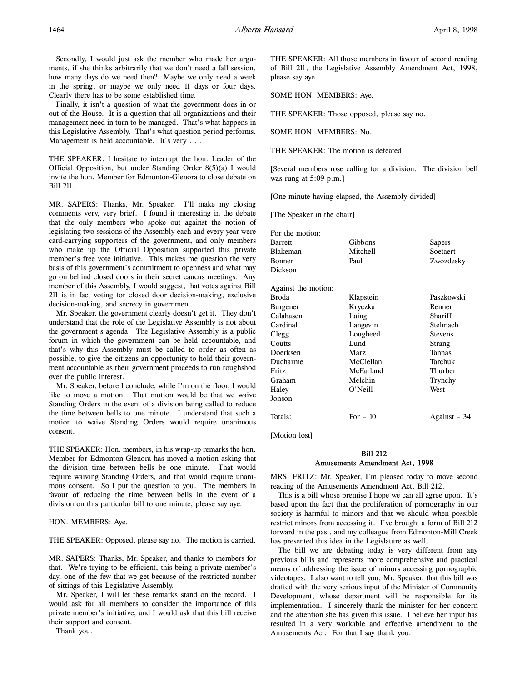Finally, it isn't a question of what the government does in or out of the House. It is a question that all organizations and their management need in turn to be managed. That's what happens in this Legislative Assembly. That's what question period performs. Management is held accountable. It's very . . .

THE SPEAKER: I hesitate to interrupt the hon. Leader of the Official Opposition, but under Standing Order 8(5)(a) I would invite the hon. Member for Edmonton-Glenora to close debate on Bill 211.

MR. SAPERS: Thanks, Mr. Speaker. I'll make my closing comments very, very brief. I found it interesting in the debate that the only members who spoke out against the notion of legislating two sessions of the Assembly each and every year were card-carrying supporters of the government, and only members who make up the Official Opposition supported this private member's free vote initiative. This makes me question the very basis of this government's commitment to openness and what may go on behind closed doors in their secret caucus meetings. Any member of this Assembly, I would suggest, that votes against Bill 211 is in fact voting for closed door decision-making, exclusive decision-making, and secrecy in government.

Mr. Speaker, the government clearly doesn't get it. They don't understand that the role of the Legislative Assembly is not about the government's agenda. The Legislative Assembly is a public forum in which the government can be held accountable, and that's why this Assembly must be called to order as often as possible, to give the citizens an opportunity to hold their government accountable as their government proceeds to run roughshod over the public interest.

Mr. Speaker, before I conclude, while I'm on the floor, I would like to move a motion. That motion would be that we waive Standing Orders in the event of a division being called to reduce the time between bells to one minute. I understand that such a motion to waive Standing Orders would require unanimous consent.

THE SPEAKER: Hon. members, in his wrap-up remarks the hon. Member for Edmonton-Glenora has moved a motion asking that the division time between bells be one minute. That would require waiving Standing Orders, and that would require unanimous consent. So I put the question to you. The members in favour of reducing the time between bells in the event of a division on this particular bill to one minute, please say aye.

HON. MEMBERS: Aye.

THE SPEAKER: Opposed, please say no. The motion is carried.

MR. SAPERS: Thanks, Mr. Speaker, and thanks to members for that. We're trying to be efficient, this being a private member's day, one of the few that we get because of the restricted number of sittings of this Legislative Assembly.

Mr. Speaker, I will let these remarks stand on the record. I would ask for all members to consider the importance of this private member's initiative, and I would ask that this bill receive their support and consent.

Thank you.

THE SPEAKER: All those members in favour of second reading of Bill 211, the Legislative Assembly Amendment Act, 1998, please say aye.

SOME HON. MEMBERS: Aye.

THE SPEAKER: Those opposed, please say no.

SOME HON. MEMBERS: No.

THE SPEAKER: The motion is defeated.

[Several members rose calling for a division. The division bell was rung at 5:09 p.m.]

[One minute having elapsed, the Assembly divided]

[The Speaker in the chair]

| For the motion:     |           |                |
|---------------------|-----------|----------------|
| <b>Barrett</b>      | Gibbons   | Sapers         |
| Blakeman            | Mitchell  | Soetaert       |
| Bonner              | Paul      | Zwozdesky      |
| Dickson             |           |                |
| Against the motion: |           |                |
| Broda               | Klapstein | Paszkowski     |
| Burgener            | Kryczka   | Renner         |
| Calahasen           | Laing     | Shariff        |
| Cardinal            | Langevin  | Stelmach       |
| Clegg               | Lougheed  | <b>Stevens</b> |
| Coutts              | Lund      | Strang         |
| Doerksen            | Marz      | Tannas         |
| Ducharme            | McClellan | Tarchuk        |
| Fritz               | McFarland | Thurber        |
| Graham              | Melchin   | Trynchy        |
| Haley               | O'Neill   | West           |
| Jonson              |           |                |
| Totals:             | For $-10$ | Against - 34   |

[Motion lost]

### Bill 212 Amusements Amendment Act, 1998

MRS. FRITZ: Mr. Speaker, I'm pleased today to move second reading of the Amusements Amendment Act, Bill 212.

This is a bill whose premise I hope we can all agree upon. It's based upon the fact that the proliferation of pornography in our society is harmful to minors and that we should when possible restrict minors from accessing it. I've brought a form of Bill 212 forward in the past, and my colleague from Edmonton-Mill Creek has presented this idea in the Legislature as well.

The bill we are debating today is very different from any previous bills and represents more comprehensive and practical means of addressing the issue of minors accessing pornographic videotapes. I also want to tell you, Mr. Speaker, that this bill was drafted with the very serious input of the Minister of Community Development, whose department will be responsible for its implementation. I sincerely thank the minister for her concern and the attention she has given this issue. I believe her input has resulted in a very workable and effective amendment to the Amusements Act. For that I say thank you.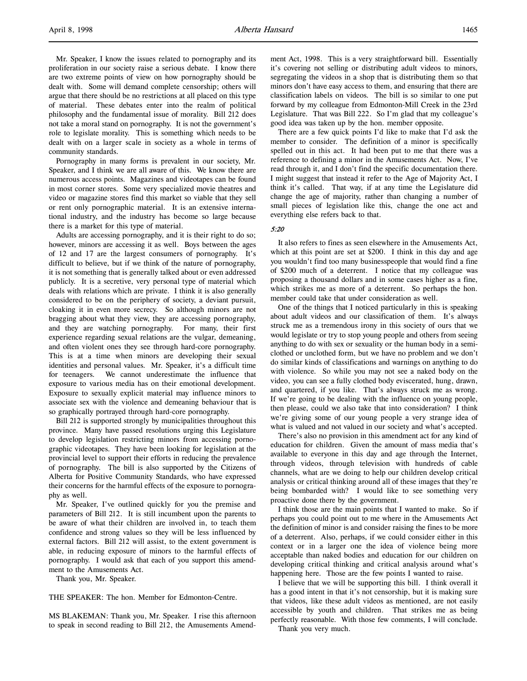Mr. Speaker, I know the issues related to pornography and its proliferation in our society raise a serious debate. I know there are two extreme points of view on how pornography should be dealt with. Some will demand complete censorship; others will argue that there should be no restrictions at all placed on this type of material. These debates enter into the realm of political philosophy and the fundamental issue of morality. Bill 212 does not take a moral stand on pornography. It is not the government's role to legislate morality. This is something which needs to be dealt with on a larger scale in society as a whole in terms of community standards.

Pornography in many forms is prevalent in our society, Mr. Speaker, and I think we are all aware of this. We know there are numerous access points. Magazines and videotapes can be found in most corner stores. Some very specialized movie theatres and video or magazine stores find this market so viable that they sell or rent only pornographic material. It is an extensive international industry, and the industry has become so large because there is a market for this type of material.

Adults are accessing pornography, and it is their right to do so; however, minors are accessing it as well. Boys between the ages of 12 and 17 are the largest consumers of pornography. It's difficult to believe, but if we think of the nature of pornography, it is not something that is generally talked about or even addressed publicly. It is a secretive, very personal type of material which deals with relations which are private. I think it is also generally considered to be on the periphery of society, a deviant pursuit, cloaking it in even more secrecy. So although minors are not bragging about what they view, they are accessing pornography, and they are watching pornography. For many, their first experience regarding sexual relations are the vulgar, demeaning, and often violent ones they see through hard-core pornography. This is at a time when minors are developing their sexual identities and personal values. Mr. Speaker, it's a difficult time for teenagers. We cannot underestimate the influence that exposure to various media has on their emotional development. Exposure to sexually explicit material may influence minors to associate sex with the violence and demeaning behaviour that is so graphically portrayed through hard-core pornography.

Bill 212 is supported strongly by municipalities throughout this province. Many have passed resolutions urging this Legislature to develop legislation restricting minors from accessing pornographic videotapes. They have been looking for legislation at the provincial level to support their efforts in reducing the prevalence of pornography. The bill is also supported by the Citizens of Alberta for Positive Community Standards, who have expressed their concerns for the harmful effects of the exposure to pornography as well.

Mr. Speaker, I've outlined quickly for you the premise and parameters of Bill 212. It is still incumbent upon the parents to be aware of what their children are involved in, to teach them confidence and strong values so they will be less influenced by external factors. Bill 212 will assist, to the extent government is able, in reducing exposure of minors to the harmful effects of pornography. I would ask that each of you support this amendment to the Amusements Act.

Thank you, Mr. Speaker.

THE SPEAKER: The hon. Member for Edmonton-Centre.

MS BLAKEMAN: Thank you, Mr. Speaker. I rise this afternoon to speak in second reading to Bill 212, the Amusements Amendment Act, 1998. This is a very straightforward bill. Essentially it's covering not selling or distributing adult videos to minors, segregating the videos in a shop that is distributing them so that minors don't have easy access to them, and ensuring that there are classification labels on videos. The bill is so similar to one put forward by my colleague from Edmonton-Mill Creek in the 23rd Legislature. That was Bill 222. So I'm glad that my colleague's good idea was taken up by the hon. member opposite.

There are a few quick points I'd like to make that I'd ask the member to consider. The definition of a minor is specifically spelled out in this act. It had been put to me that there was a reference to defining a minor in the Amusements Act. Now, I've read through it, and I don't find the specific documentation there. I might suggest that instead it refer to the Age of Majority Act, I think it's called. That way, if at any time the Legislature did change the age of majority, rather than changing a number of small pieces of legislation like this, change the one act and everything else refers back to that.

#### 5:20

It also refers to fines as seen elsewhere in the Amusements Act, which at this point are set at \$200. I think in this day and age you wouldn't find too many businesspeople that would find a fine of \$200 much of a deterrent. I notice that my colleague was proposing a thousand dollars and in some cases higher as a fine, which strikes me as more of a deterrent. So perhaps the hon. member could take that under consideration as well.

One of the things that I noticed particularly in this is speaking about adult videos and our classification of them. It's always struck me as a tremendous irony in this society of ours that we would legislate or try to stop young people and others from seeing anything to do with sex or sexuality or the human body in a semiclothed or unclothed form, but we have no problem and we don't do similar kinds of classifications and warnings on anything to do with violence. So while you may not see a naked body on the video, you can see a fully clothed body eviscerated, hung, drawn, and quartered, if you like. That's always struck me as wrong. If we're going to be dealing with the influence on young people, then please, could we also take that into consideration? I think we're giving some of our young people a very strange idea of what is valued and not valued in our society and what's accepted.

There's also no provision in this amendment act for any kind of education for children. Given the amount of mass media that's available to everyone in this day and age through the Internet, through videos, through television with hundreds of cable channels, what are we doing to help our children develop critical analysis or critical thinking around all of these images that they're being bombarded with? I would like to see something very proactive done there by the government.

I think those are the main points that I wanted to make. So if perhaps you could point out to me where in the Amusements Act the definition of minor is and consider raising the fines to be more of a deterrent. Also, perhaps, if we could consider either in this context or in a larger one the idea of violence being more acceptable than naked bodies and education for our children on developing critical thinking and critical analysis around what's happening here. Those are the few points I wanted to raise.

I believe that we will be supporting this bill. I think overall it has a good intent in that it's not censorship, but it is making sure that videos, like these adult videos as mentioned, are not easily accessible by youth and children. That strikes me as being perfectly reasonable. With those few comments, I will conclude. Thank you very much.